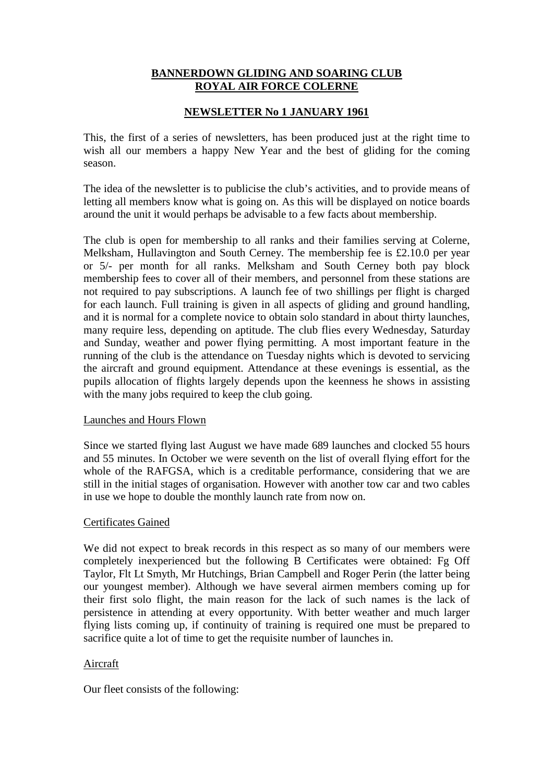## **BANNERDOWN GLIDING AND SOARING CLUB ROYAL AIR FORCE COLERNE**

## **NEWSLETTER No 1 JANUARY 1961**

This, the first of a series of newsletters, has been produced just at the right time to wish all our members a happy New Year and the best of gliding for the coming season.

The idea of the newsletter is to publicise the club's activities, and to provide means of letting all members know what is going on. As this will be displayed on notice boards around the unit it would perhaps be advisable to a few facts about membership.

The club is open for membership to all ranks and their families serving at Colerne, Melksham, Hullavington and South Cerney. The membership fee is £2.10.0 per year or 5/- per month for all ranks. Melksham and South Cerney both pay block membership fees to cover all of their members, and personnel from these stations are not required to pay subscriptions. A launch fee of two shillings per flight is charged for each launch. Full training is given in all aspects of gliding and ground handling, and it is normal for a complete novice to obtain solo standard in about thirty launches, many require less, depending on aptitude. The club flies every Wednesday, Saturday and Sunday, weather and power flying permitting. A most important feature in the running of the club is the attendance on Tuesday nights which is devoted to servicing the aircraft and ground equipment. Attendance at these evenings is essential, as the pupils allocation of flights largely depends upon the keenness he shows in assisting with the many jobs required to keep the club going.

### Launches and Hours Flown

Since we started flying last August we have made 689 launches and clocked 55 hours and 55 minutes. In October we were seventh on the list of overall flying effort for the whole of the RAFGSA, which is a creditable performance, considering that we are still in the initial stages of organisation. However with another tow car and two cables in use we hope to double the monthly launch rate from now on.

### Certificates Gained

We did not expect to break records in this respect as so many of our members were completely inexperienced but the following B Certificates were obtained: Fg Off Taylor, Flt Lt Smyth, Mr Hutchings, Brian Campbell and Roger Perin (the latter being our youngest member). Although we have several airmen members coming up for their first solo flight, the main reason for the lack of such names is the lack of persistence in attending at every opportunity. With better weather and much larger flying lists coming up, if continuity of training is required one must be prepared to sacrifice quite a lot of time to get the requisite number of launches in.

### Aircraft

Our fleet consists of the following: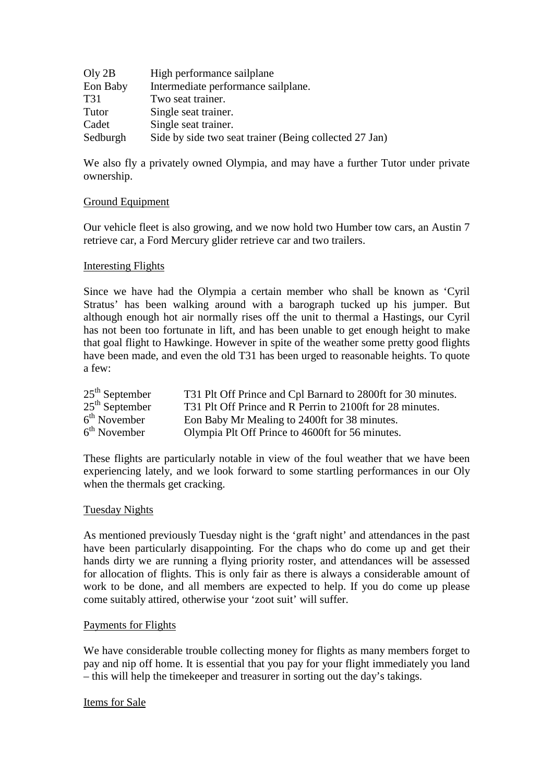| Oly 2B   | High performance sailplane                             |
|----------|--------------------------------------------------------|
| Eon Baby | Intermediate performance sailplane.                    |
| T31      | Two seat trainer.                                      |
| Tutor    | Single seat trainer.                                   |
| Cadet    | Single seat trainer.                                   |
| Sedburgh | Side by side two seat trainer (Being collected 27 Jan) |

We also fly a privately owned Olympia, and may have a further Tutor under private ownership.

### Ground Equipment

Our vehicle fleet is also growing, and we now hold two Humber tow cars, an Austin 7 retrieve car, a Ford Mercury glider retrieve car and two trailers.

### Interesting Flights

Since we have had the Olympia a certain member who shall be known as 'Cyril Stratus' has been walking around with a barograph tucked up his jumper. But although enough hot air normally rises off the unit to thermal a Hastings, our Cyril has not been too fortunate in lift, and has been unable to get enough height to make that goal flight to Hawkinge. However in spite of the weather some pretty good flights have been made, and even the old T31 has been urged to reasonable heights. To quote a few:

| $25th$ September | T31 Plt Off Prince and Cpl Barnard to 2800ft for 30 minutes. |
|------------------|--------------------------------------------------------------|
| $25th$ September | T31 Plt Off Prince and R Perrin to 2100ft for 28 minutes.    |
| $6th$ November   | Eon Baby Mr Mealing to 2400ft for 38 minutes.                |
| $6th$ November   | Olympia Plt Off Prince to 4600ft for 56 minutes.             |

These flights are particularly notable in view of the foul weather that we have been experiencing lately, and we look forward to some startling performances in our Oly when the thermals get cracking.

### Tuesday Nights

As mentioned previously Tuesday night is the 'graft night' and attendances in the past have been particularly disappointing. For the chaps who do come up and get their hands dirty we are running a flying priority roster, and attendances will be assessed for allocation of flights. This is only fair as there is always a considerable amount of work to be done, and all members are expected to help. If you do come up please come suitably attired, otherwise your 'zoot suit' will suffer.

### Payments for Flights

We have considerable trouble collecting money for flights as many members forget to pay and nip off home. It is essential that you pay for your flight immediately you land – this will help the timekeeper and treasurer in sorting out the day's takings.

#### Items for Sale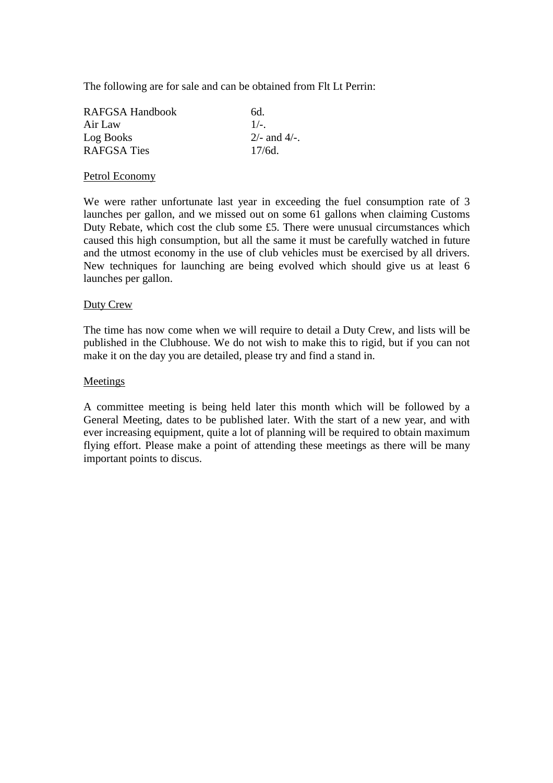The following are for sale and can be obtained from Flt Lt Perrin:

| 6d.               |
|-------------------|
| $1/-$ .           |
| $2/-$ and $4/-$ . |
| $17/6d$ .         |
|                   |

#### Petrol Economy

We were rather unfortunate last year in exceeding the fuel consumption rate of 3 launches per gallon, and we missed out on some 61 gallons when claiming Customs Duty Rebate, which cost the club some £5. There were unusual circumstances which caused this high consumption, but all the same it must be carefully watched in future and the utmost economy in the use of club vehicles must be exercised by all drivers. New techniques for launching are being evolved which should give us at least 6 launches per gallon.

#### Duty Crew

The time has now come when we will require to detail a Duty Crew, and lists will be published in the Clubhouse. We do not wish to make this to rigid, but if you can not make it on the day you are detailed, please try and find a stand in.

#### Meetings

A committee meeting is being held later this month which will be followed by a General Meeting, dates to be published later. With the start of a new year, and with ever increasing equipment, quite a lot of planning will be required to obtain maximum flying effort. Please make a point of attending these meetings as there will be many important points to discus.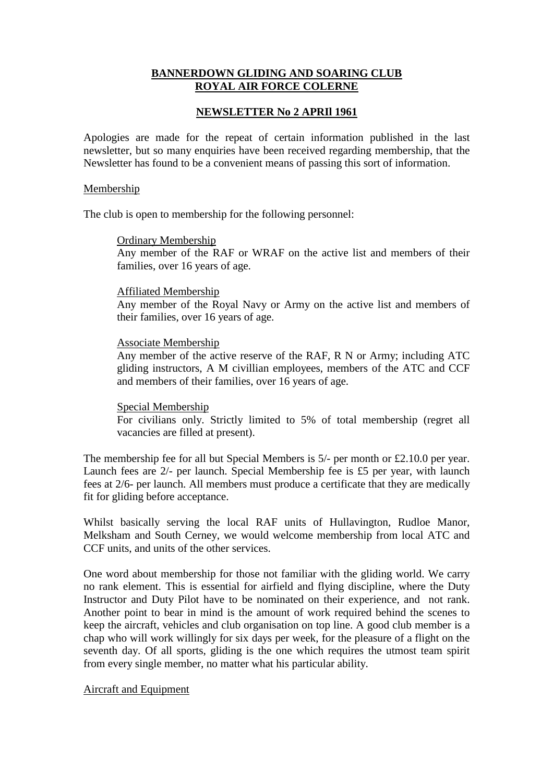## **BANNERDOWN GLIDING AND SOARING CLUB ROYAL AIR FORCE COLERNE**

### **NEWSLETTER No 2 APRIl 1961**

Apologies are made for the repeat of certain information published in the last newsletter, but so many enquiries have been received regarding membership, that the Newsletter has found to be a convenient means of passing this sort of information.

#### Membership

The club is open to membership for the following personnel:

#### Ordinary Membership

Any member of the RAF or WRAF on the active list and members of their families, over 16 years of age.

#### Affiliated Membership

Any member of the Royal Navy or Army on the active list and members of their families, over 16 years of age.

#### Associate Membership

Any member of the active reserve of the RAF, R N or Army; including ATC gliding instructors, A M civillian employees, members of the ATC and CCF and members of their families, over 16 years of age.

### Special Membership

For civilians only. Strictly limited to 5% of total membership (regret all vacancies are filled at present).

The membership fee for all but Special Members is 5/- per month or £2.10.0 per year. Launch fees are 2/- per launch. Special Membership fee is £5 per year, with launch fees at 2/6- per launch. All members must produce a certificate that they are medically fit for gliding before acceptance.

Whilst basically serving the local RAF units of Hullavington, Rudloe Manor, Melksham and South Cerney, we would welcome membership from local ATC and CCF units, and units of the other services.

One word about membership for those not familiar with the gliding world. We carry no rank element. This is essential for airfield and flying discipline, where the Duty Instructor and Duty Pilot have to be nominated on their experience, and not rank. Another point to bear in mind is the amount of work required behind the scenes to keep the aircraft, vehicles and club organisation on top line. A good club member is a chap who will work willingly for six days per week, for the pleasure of a flight on the seventh day. Of all sports, gliding is the one which requires the utmost team spirit from every single member, no matter what his particular ability.

### Aircraft and Equipment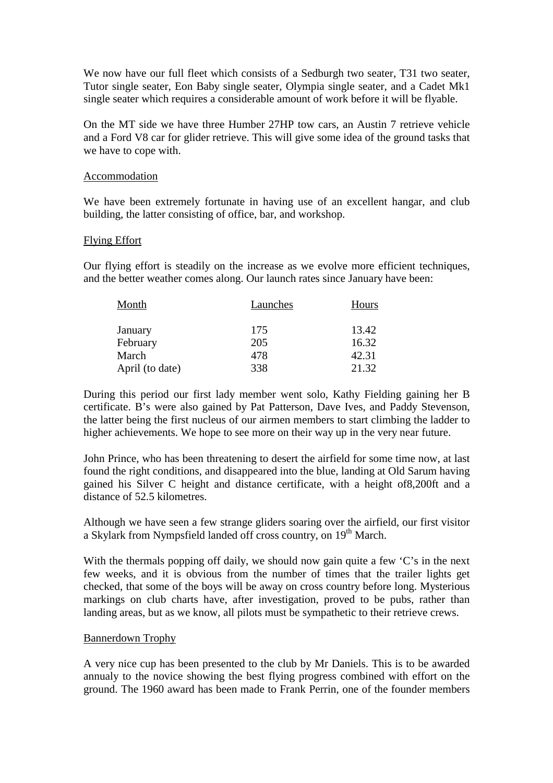We now have our full fleet which consists of a Sedburgh two seater, T31 two seater, Tutor single seater, Eon Baby single seater, Olympia single seater, and a Cadet Mk1 single seater which requires a considerable amount of work before it will be flyable.

On the MT side we have three Humber 27HP tow cars, an Austin 7 retrieve vehicle and a Ford V8 car for glider retrieve. This will give some idea of the ground tasks that we have to cope with.

#### **Accommodation**

We have been extremely fortunate in having use of an excellent hangar, and club building, the latter consisting of office, bar, and workshop.

### Flying Effort

Our flying effort is steadily on the increase as we evolve more efficient techniques, and the better weather comes along. Our launch rates since January have been:

| Month           | Launches | Hours |
|-----------------|----------|-------|
| January         | 175      | 13.42 |
| February        | 205      | 16.32 |
| March           | 478      | 42.31 |
| April (to date) | 338      | 21.32 |

During this period our first lady member went solo, Kathy Fielding gaining her B certificate. B's were also gained by Pat Patterson, Dave Ives, and Paddy Stevenson, the latter being the first nucleus of our airmen members to start climbing the ladder to higher achievements. We hope to see more on their way up in the very near future.

John Prince, who has been threatening to desert the airfield for some time now, at last found the right conditions, and disappeared into the blue, landing at Old Sarum having gained his Silver C height and distance certificate, with a height of8,200ft and a distance of 52.5 kilometres.

Although we have seen a few strange gliders soaring over the airfield, our first visitor a Skylark from Nympsfield landed off cross country, on 19th March.

With the thermals popping off daily, we should now gain quite a few 'C's in the next few weeks, and it is obvious from the number of times that the trailer lights get checked, that some of the boys will be away on cross country before long. Mysterious markings on club charts have, after investigation, proved to be pubs, rather than landing areas, but as we know, all pilots must be sympathetic to their retrieve crews.

#### Bannerdown Trophy

A very nice cup has been presented to the club by Mr Daniels. This is to be awarded annualy to the novice showing the best flying progress combined with effort on the ground. The 1960 award has been made to Frank Perrin, one of the founder members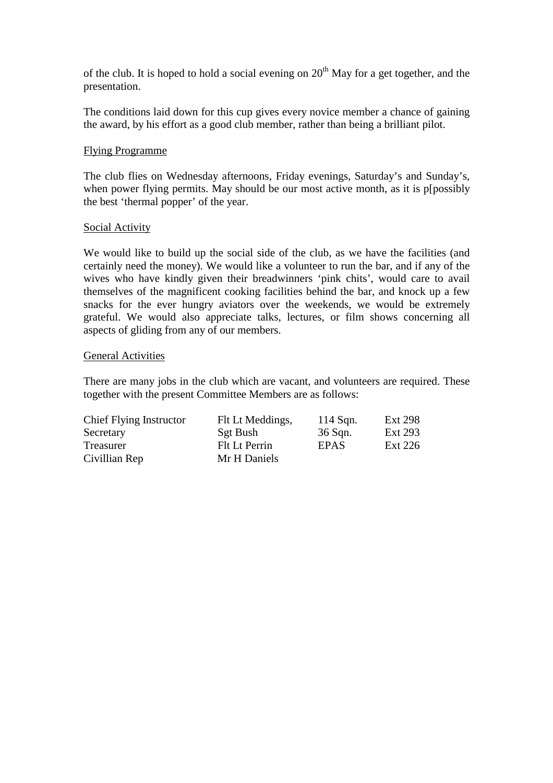of the club. It is hoped to hold a social evening on  $20<sup>th</sup>$  May for a get together, and the presentation.

The conditions laid down for this cup gives every novice member a chance of gaining the award, by his effort as a good club member, rather than being a brilliant pilot.

#### Flying Programme

The club flies on Wednesday afternoons, Friday evenings, Saturday's and Sunday's, when power flying permits. May should be our most active month, as it is p[possibly the best 'thermal popper' of the year.

#### Social Activity

We would like to build up the social side of the club, as we have the facilities (and certainly need the money). We would like a volunteer to run the bar, and if any of the wives who have kindly given their breadwinners 'pink chits', would care to avail themselves of the magnificent cooking facilities behind the bar, and knock up a few snacks for the ever hungry aviators over the weekends, we would be extremely grateful. We would also appreciate talks, lectures, or film shows concerning all aspects of gliding from any of our members.

#### General Activities

There are many jobs in the club which are vacant, and volunteers are required. These together with the present Committee Members are as follows:

| Chief Flying Instructor | Flt Lt Meddings, | $114$ Sqn. | Ext 298 |
|-------------------------|------------------|------------|---------|
| Secretary               | Sgt Bush         | 36 Sqn.    | Ext 293 |
| Treasurer               | Flt Lt Perrin    | EPAS       | Ext 226 |
| Civillian Rep           | Mr H Daniels     |            |         |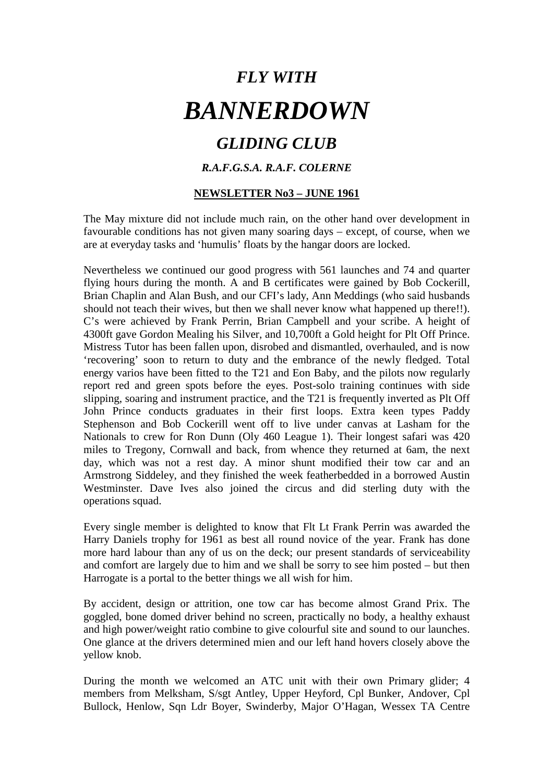# *GLIDING CLUB*

## *R.A.F.G.S.A. R.A.F. COLERNE*

## **NEWSLETTER No3 – JUNE 1961**

The May mixture did not include much rain, on the other hand over development in favourable conditions has not given many soaring days – except, of course, when we are at everyday tasks and 'humulis' floats by the hangar doors are locked.

Nevertheless we continued our good progress with 561 launches and 74 and quarter flying hours during the month. A and B certificates were gained by Bob Cockerill, Brian Chaplin and Alan Bush, and our CFI's lady, Ann Meddings (who said husbands should not teach their wives, but then we shall never know what happened up there!!). C's were achieved by Frank Perrin, Brian Campbell and your scribe. A height of 4300ft gave Gordon Mealing his Silver, and 10,700ft a Gold height for Plt Off Prince. Mistress Tutor has been fallen upon, disrobed and dismantled, overhauled, and is now 'recovering' soon to return to duty and the embrance of the newly fledged. Total energy varios have been fitted to the T21 and Eon Baby, and the pilots now regularly report red and green spots before the eyes. Post-solo training continues with side slipping, soaring and instrument practice, and the T21 is frequently inverted as Plt Off John Prince conducts graduates in their first loops. Extra keen types Paddy Stephenson and Bob Cockerill went off to live under canvas at Lasham for the Nationals to crew for Ron Dunn (Oly 460 League 1). Their longest safari was 420 miles to Tregony, Cornwall and back, from whence they returned at 6am, the next day, which was not a rest day. A minor shunt modified their tow car and an Armstrong Siddeley, and they finished the week featherbedded in a borrowed Austin Westminster. Dave Ives also joined the circus and did sterling duty with the operations squad.

Every single member is delighted to know that Flt Lt Frank Perrin was awarded the Harry Daniels trophy for 1961 as best all round novice of the year. Frank has done more hard labour than any of us on the deck; our present standards of serviceability and comfort are largely due to him and we shall be sorry to see him posted – but then Harrogate is a portal to the better things we all wish for him.

By accident, design or attrition, one tow car has become almost Grand Prix. The goggled, bone domed driver behind no screen, practically no body, a healthy exhaust and high power/weight ratio combine to give colourful site and sound to our launches. One glance at the drivers determined mien and our left hand hovers closely above the yellow knob.

During the month we welcomed an ATC unit with their own Primary glider; 4 members from Melksham, S/sgt Antley, Upper Heyford, Cpl Bunker, Andover, Cpl Bullock, Henlow, Sqn Ldr Boyer, Swinderby, Major O'Hagan, Wessex TA Centre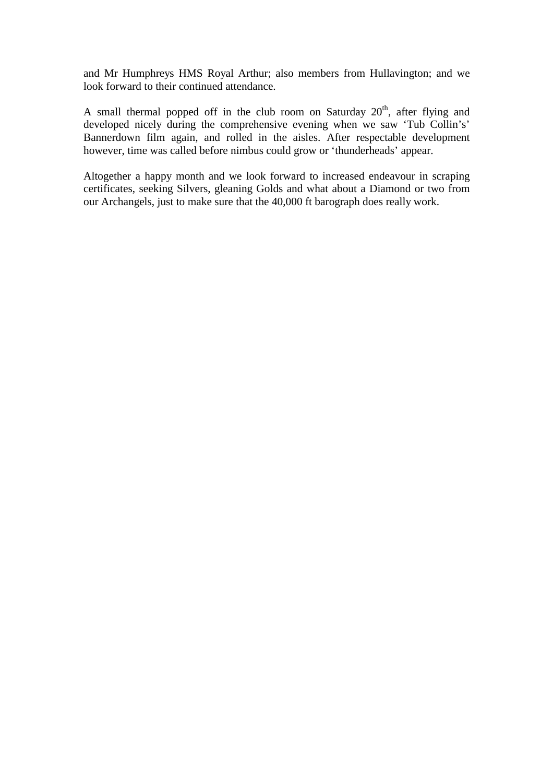and Mr Humphreys HMS Royal Arthur; also members from Hullavington; and we look forward to their continued attendance.

A small thermal popped off in the club room on Saturday 20<sup>th</sup>, after flying and developed nicely during the comprehensive evening when we saw 'Tub Collin's' Bannerdown film again, and rolled in the aisles. After respectable development however, time was called before nimbus could grow or 'thunderheads' appear.

Altogether a happy month and we look forward to increased endeavour in scraping certificates, seeking Silvers, gleaning Golds and what about a Diamond or two from our Archangels, just to make sure that the 40,000 ft barograph does really work.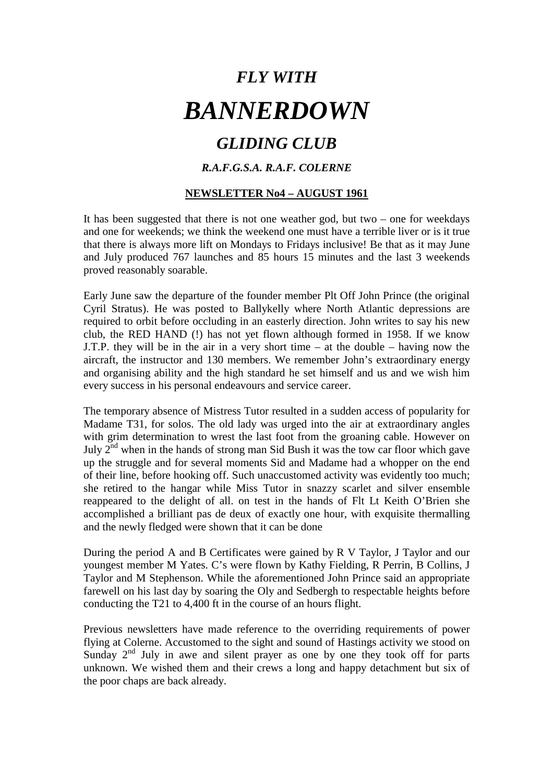# *GLIDING CLUB*

## *R.A.F.G.S.A. R.A.F. COLERNE*

## **NEWSLETTER No4 – AUGUST 1961**

It has been suggested that there is not one weather god, but two – one for weekdays and one for weekends; we think the weekend one must have a terrible liver or is it true that there is always more lift on Mondays to Fridays inclusive! Be that as it may June and July produced 767 launches and 85 hours 15 minutes and the last 3 weekends proved reasonably soarable.

Early June saw the departure of the founder member Plt Off John Prince (the original Cyril Stratus). He was posted to Ballykelly where North Atlantic depressions are required to orbit before occluding in an easterly direction. John writes to say his new club, the RED HAND (!) has not yet flown although formed in 1958. If we know J.T.P. they will be in the air in a very short time – at the double – having now the aircraft, the instructor and 130 members. We remember John's extraordinary energy and organising ability and the high standard he set himself and us and we wish him every success in his personal endeavours and service career.

The temporary absence of Mistress Tutor resulted in a sudden access of popularity for Madame T31, for solos. The old lady was urged into the air at extraordinary angles with grim determination to wrest the last foot from the groaning cable. However on July  $2<sup>nd</sup>$  when in the hands of strong man Sid Bush it was the tow car floor which gave up the struggle and for several moments Sid and Madame had a whopper on the end of their line, before hooking off. Such unaccustomed activity was evidently too much; she retired to the hangar while Miss Tutor in snazzy scarlet and silver ensemble reappeared to the delight of all. on test in the hands of Flt Lt Keith O'Brien she accomplished a brilliant pas de deux of exactly one hour, with exquisite thermalling and the newly fledged were shown that it can be done

During the period A and B Certificates were gained by R V Taylor, J Taylor and our youngest member M Yates. C's were flown by Kathy Fielding, R Perrin, B Collins, J Taylor and M Stephenson. While the aforementioned John Prince said an appropriate farewell on his last day by soaring the Oly and Sedbergh to respectable heights before conducting the T21 to 4,400 ft in the course of an hours flight.

Previous newsletters have made reference to the overriding requirements of power flying at Colerne. Accustomed to the sight and sound of Hastings activity we stood on Sunday  $2<sup>nd</sup>$  July in awe and silent prayer as one by one they took off for parts unknown. We wished them and their crews a long and happy detachment but six of the poor chaps are back already.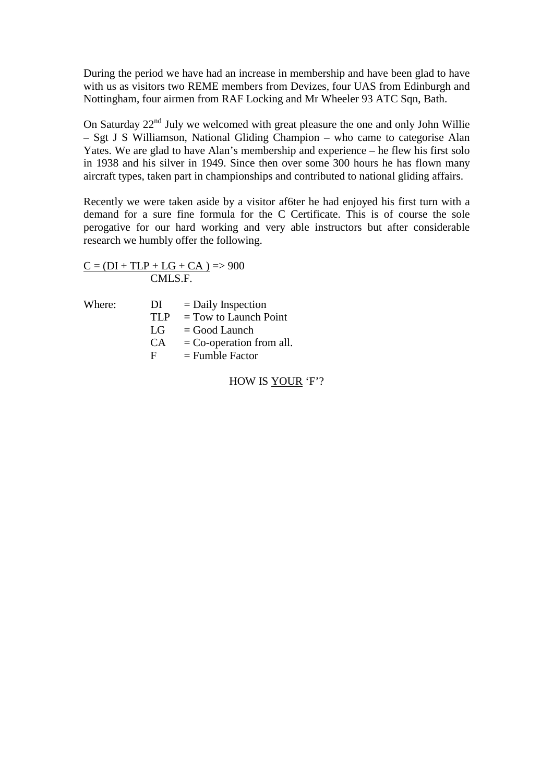During the period we have had an increase in membership and have been glad to have with us as visitors two REME members from Devizes, four UAS from Edinburgh and Nottingham, four airmen from RAF Locking and Mr Wheeler 93 ATC Sqn, Bath.

On Saturday  $22<sup>nd</sup>$  July we welcomed with great pleasure the one and only John Willie – Sgt J S Williamson, National Gliding Champion – who came to categorise Alan Yates. We are glad to have Alan's membership and experience – he flew his first solo in 1938 and his silver in 1949. Since then over some 300 hours he has flown many aircraft types, taken part in championships and contributed to national gliding affairs.

Recently we were taken aside by a visitor af6ter he had enjoyed his first turn with a demand for a sure fine formula for the C Certificate. This is of course the sole perogative for our hard working and very able instructors but after considerable research we humbly offer the following.

 $C = (DI + TLP + LG + CA)$  => 900 CMLS.F.

| Where: | DI   | $=$ Daily Inspection       |
|--------|------|----------------------------|
|        | TI P | $=$ Tow to Launch Point    |
|        | LG   | $=$ Good Launch            |
|        | CA.  | $=$ Co-operation from all. |
|        | F    | $=$ Fumble Factor          |
|        |      |                            |

HOW IS YOUR 'F'?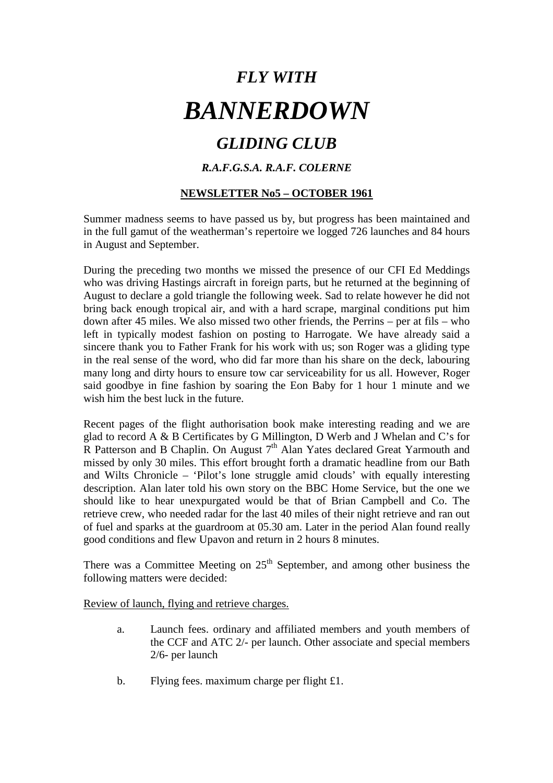# *GLIDING CLUB*

## *R.A.F.G.S.A. R.A.F. COLERNE*

## **NEWSLETTER No5 – OCTOBER 1961**

Summer madness seems to have passed us by, but progress has been maintained and in the full gamut of the weatherman's repertoire we logged 726 launches and 84 hours in August and September.

During the preceding two months we missed the presence of our CFI Ed Meddings who was driving Hastings aircraft in foreign parts, but he returned at the beginning of August to declare a gold triangle the following week. Sad to relate however he did not bring back enough tropical air, and with a hard scrape, marginal conditions put him down after 45 miles. We also missed two other friends, the Perrins – per at fils – who left in typically modest fashion on posting to Harrogate. We have already said a sincere thank you to Father Frank for his work with us; son Roger was a gliding type in the real sense of the word, who did far more than his share on the deck, labouring many long and dirty hours to ensure tow car serviceability for us all. However, Roger said goodbye in fine fashion by soaring the Eon Baby for 1 hour 1 minute and we wish him the best luck in the future.

Recent pages of the flight authorisation book make interesting reading and we are glad to record A & B Certificates by G Millington, D Werb and J Whelan and C's for R Patterson and B Chaplin. On August  $7<sup>th</sup>$  Alan Yates declared Great Yarmouth and missed by only 30 miles. This effort brought forth a dramatic headline from our Bath and Wilts Chronicle – 'Pilot's lone struggle amid clouds' with equally interesting description. Alan later told his own story on the BBC Home Service, but the one we should like to hear unexpurgated would be that of Brian Campbell and Co. The retrieve crew, who needed radar for the last 40 miles of their night retrieve and ran out of fuel and sparks at the guardroom at 05.30 am. Later in the period Alan found really good conditions and flew Upavon and return in 2 hours 8 minutes.

There was a Committee Meeting on  $25<sup>th</sup>$  September, and among other business the following matters were decided:

Review of launch, flying and retrieve charges.

- a. Launch fees. ordinary and affiliated members and youth members of the CCF and ATC 2/- per launch. Other associate and special members 2/6- per launch
- b. Flying fees. maximum charge per flight £1.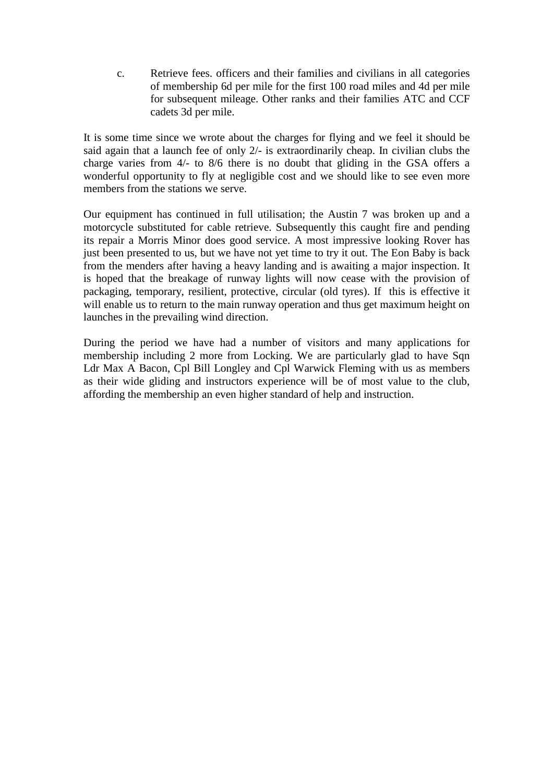c. Retrieve fees. officers and their families and civilians in all categories of membership 6d per mile for the first 100 road miles and 4d per mile for subsequent mileage. Other ranks and their families ATC and CCF cadets 3d per mile.

It is some time since we wrote about the charges for flying and we feel it should be said again that a launch fee of only 2/- is extraordinarily cheap. In civilian clubs the charge varies from 4/- to 8/6 there is no doubt that gliding in the GSA offers a wonderful opportunity to fly at negligible cost and we should like to see even more members from the stations we serve.

Our equipment has continued in full utilisation; the Austin 7 was broken up and a motorcycle substituted for cable retrieve. Subsequently this caught fire and pending its repair a Morris Minor does good service. A most impressive looking Rover has just been presented to us, but we have not yet time to try it out. The Eon Baby is back from the menders after having a heavy landing and is awaiting a major inspection. It is hoped that the breakage of runway lights will now cease with the provision of packaging, temporary, resilient, protective, circular (old tyres). If this is effective it will enable us to return to the main runway operation and thus get maximum height on launches in the prevailing wind direction.

During the period we have had a number of visitors and many applications for membership including 2 more from Locking. We are particularly glad to have Sqn Ldr Max A Bacon, Cpl Bill Longley and Cpl Warwick Fleming with us as members as their wide gliding and instructors experience will be of most value to the club, affording the membership an even higher standard of help and instruction.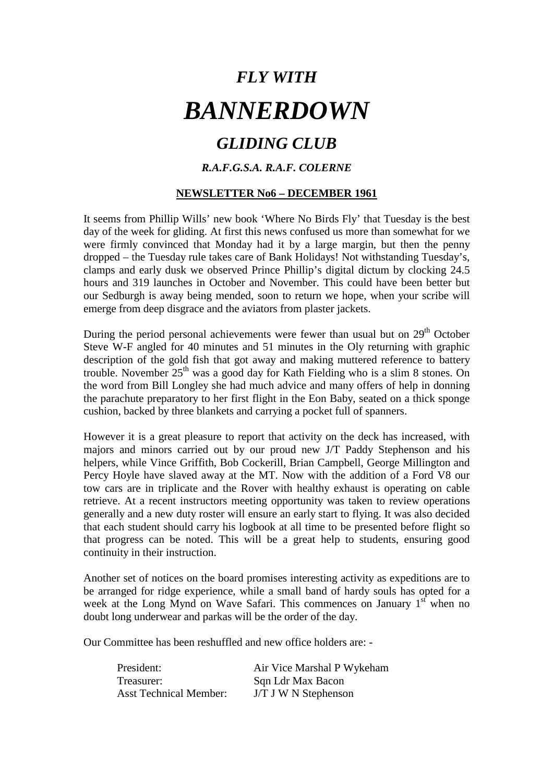# *GLIDING CLUB*

## *R.A.F.G.S.A. R.A.F. COLERNE*

## **NEWSLETTER No6 – DECEMBER 1961**

It seems from Phillip Wills' new book 'Where No Birds Fly' that Tuesday is the best day of the week for gliding. At first this news confused us more than somewhat for we were firmly convinced that Monday had it by a large margin, but then the penny dropped – the Tuesday rule takes care of Bank Holidays! Not withstanding Tuesday's, clamps and early dusk we observed Prince Phillip's digital dictum by clocking 24.5 hours and 319 launches in October and November. This could have been better but our Sedburgh is away being mended, soon to return we hope, when your scribe will emerge from deep disgrace and the aviators from plaster jackets.

During the period personal achievements were fewer than usual but on 29<sup>th</sup> October Steve W-F angled for 40 minutes and 51 minutes in the Oly returning with graphic description of the gold fish that got away and making muttered reference to battery trouble. November 25<sup>th</sup> was a good day for Kath Fielding who is a slim 8 stones. On the word from Bill Longley she had much advice and many offers of help in donning the parachute preparatory to her first flight in the Eon Baby, seated on a thick sponge cushion, backed by three blankets and carrying a pocket full of spanners.

However it is a great pleasure to report that activity on the deck has increased, with majors and minors carried out by our proud new J/T Paddy Stephenson and his helpers, while Vince Griffith, Bob Cockerill, Brian Campbell, George Millington and Percy Hoyle have slaved away at the MT. Now with the addition of a Ford V8 our tow cars are in triplicate and the Rover with healthy exhaust is operating on cable retrieve. At a recent instructors meeting opportunity was taken to review operations generally and a new duty roster will ensure an early start to flying. It was also decided that each student should carry his logbook at all time to be presented before flight so that progress can be noted. This will be a great help to students, ensuring good continuity in their instruction.

Another set of notices on the board promises interesting activity as expeditions are to be arranged for ridge experience, while a small band of hardy souls has opted for a week at the Long Mynd on Wave Safari. This commences on January  $1<sup>st</sup>$  when no doubt long underwear and parkas will be the order of the day.

Our Committee has been reshuffled and new office holders are: -

| President:                    | Air Vice Marshal P Wykeham |
|-------------------------------|----------------------------|
| Treasurer:                    | Sqn Ldr Max Bacon          |
| <b>Asst Technical Member:</b> | $J/T$ J W N Stephenson     |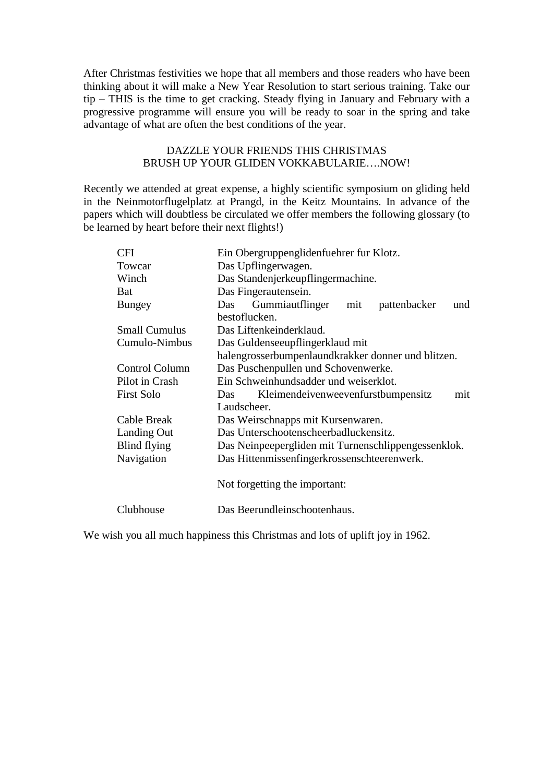After Christmas festivities we hope that all members and those readers who have been thinking about it will make a New Year Resolution to start serious training. Take our tip – THIS is the time to get cracking. Steady flying in January and February with a progressive programme will ensure you will be ready to soar in the spring and take advantage of what are often the best conditions of the year.

### DAZZLE YOUR FRIENDS THIS CHRISTMAS BRUSH UP YOUR GLIDEN VOKKABULARIE….NOW!

Recently we attended at great expense, a highly scientific symposium on gliding held in the Neinmotorflugelplatz at Prangd, in the Keitz Mountains. In advance of the papers which will doubtless be circulated we offer members the following glossary (to be learned by heart before their next flights!)

| <b>CFI</b>            | Ein Obergruppenglidenfuehrer fur Klotz.              |  |  |
|-----------------------|------------------------------------------------------|--|--|
| Towcar                | Das Upflingerwagen.                                  |  |  |
| Winch                 | Das Standenjerkeupflingermachine.                    |  |  |
| Bat                   | Das Fingerautensein.                                 |  |  |
| <b>Bungey</b>         | Gummiautflinger<br>pattenbacker<br>Das<br>mit<br>und |  |  |
|                       | bestoflucken.                                        |  |  |
| <b>Small Cumulus</b>  | Das Liftenkeinderklaud.                              |  |  |
| Cumulo-Nimbus         | Das Guldenseeupflingerklaud mit                      |  |  |
|                       | halengrosserbumpenlaundkrakker donner und blitzen.   |  |  |
| <b>Control Column</b> | Das Puschenpullen und Schovenwerke.                  |  |  |
| Pilot in Crash        | Ein Schweinhundsadder und weiserklot.                |  |  |
| <b>First Solo</b>     | Kleimendeivenweevenfurstbumpensitz<br>mit<br>Das     |  |  |
|                       | Laudscheer.                                          |  |  |
| Cable Break           | Das Weirschnapps mit Kursenwaren.                    |  |  |
| Landing Out           | Das Unterschootenscheerbadluckensitz.                |  |  |
| Blind flying          | Das Neinpeepergliden mit Turnenschlippengessenklok.  |  |  |
| Navigation            | Das Hittenmissenfingerkrossenschteerenwerk.          |  |  |
|                       |                                                      |  |  |
|                       | Not forgetting the important:                        |  |  |
|                       |                                                      |  |  |
| Clubhouse             | Das Beerundleinschootenhaus.                         |  |  |

We wish you all much happiness this Christmas and lots of uplift joy in 1962.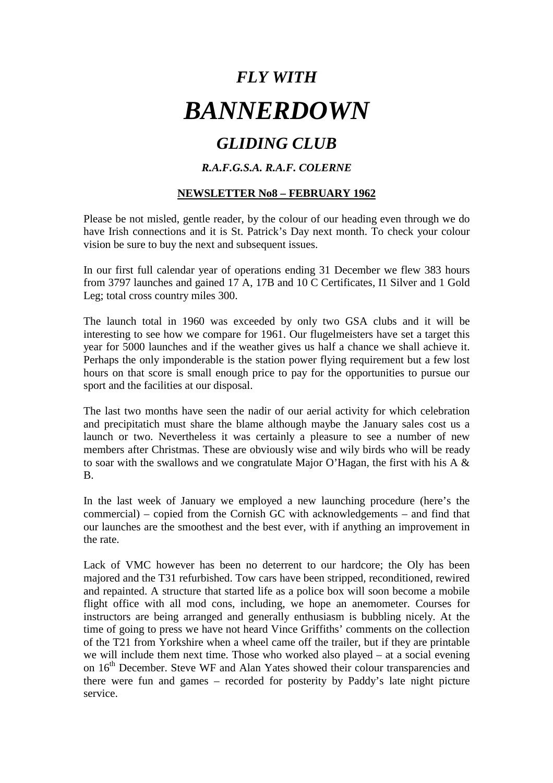# *GLIDING CLUB*

## *R.A.F.G.S.A. R.A.F. COLERNE*

## **NEWSLETTER No8 – FEBRUARY 1962**

Please be not misled, gentle reader, by the colour of our heading even through we do have Irish connections and it is St. Patrick's Day next month. To check your colour vision be sure to buy the next and subsequent issues.

In our first full calendar year of operations ending 31 December we flew 383 hours from 3797 launches and gained 17 A, 17B and 10 C Certificates, I1 Silver and 1 Gold Leg; total cross country miles 300.

The launch total in 1960 was exceeded by only two GSA clubs and it will be interesting to see how we compare for 1961. Our flugelmeisters have set a target this year for 5000 launches and if the weather gives us half a chance we shall achieve it. Perhaps the only imponderable is the station power flying requirement but a few lost hours on that score is small enough price to pay for the opportunities to pursue our sport and the facilities at our disposal.

The last two months have seen the nadir of our aerial activity for which celebration and precipitatich must share the blame although maybe the January sales cost us a launch or two. Nevertheless it was certainly a pleasure to see a number of new members after Christmas. These are obviously wise and wily birds who will be ready to soar with the swallows and we congratulate Major O'Hagan, the first with his A & B.

In the last week of January we employed a new launching procedure (here's the commercial) – copied from the Cornish GC with acknowledgements – and find that our launches are the smoothest and the best ever, with if anything an improvement in the rate.

Lack of VMC however has been no deterrent to our hardcore; the Oly has been majored and the T31 refurbished. Tow cars have been stripped, reconditioned, rewired and repainted. A structure that started life as a police box will soon become a mobile flight office with all mod cons, including, we hope an anemometer. Courses for instructors are being arranged and generally enthusiasm is bubbling nicely. At the time of going to press we have not heard Vince Griffiths' comments on the collection of the T21 from Yorkshire when a wheel came off the trailer, but if they are printable we will include them next time. Those who worked also played – at a social evening on 16<sup>th</sup> December. Steve WF and Alan Yates showed their colour transparencies and there were fun and games – recorded for posterity by Paddy's late night picture service.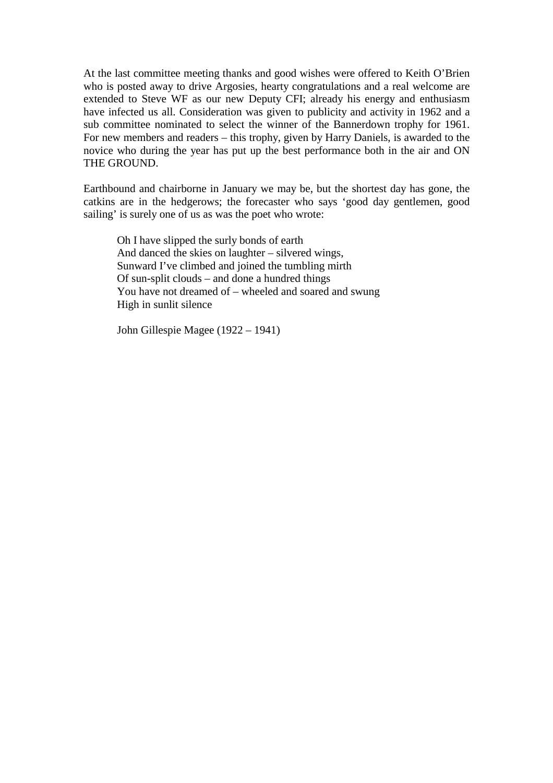At the last committee meeting thanks and good wishes were offered to Keith O'Brien who is posted away to drive Argosies, hearty congratulations and a real welcome are extended to Steve WF as our new Deputy CFI; already his energy and enthusiasm have infected us all. Consideration was given to publicity and activity in 1962 and a sub committee nominated to select the winner of the Bannerdown trophy for 1961. For new members and readers – this trophy, given by Harry Daniels, is awarded to the novice who during the year has put up the best performance both in the air and ON THE GROUND.

Earthbound and chairborne in January we may be, but the shortest day has gone, the catkins are in the hedgerows; the forecaster who says 'good day gentlemen, good sailing' is surely one of us as was the poet who wrote:

 Oh I have slipped the surly bonds of earth And danced the skies on laughter – silvered wings, Sunward I've climbed and joined the tumbling mirth Of sun-split clouds – and done a hundred things You have not dreamed of – wheeled and soared and swung High in sunlit silence

John Gillespie Magee (1922 – 1941)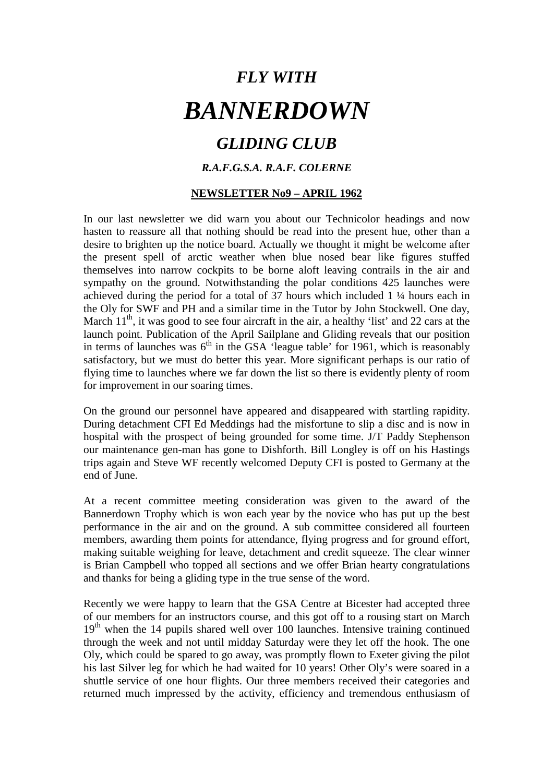# *GLIDING CLUB*

## *R.A.F.G.S.A. R.A.F. COLERNE*

### **NEWSLETTER No9 – APRIL 1962**

In our last newsletter we did warn you about our Technicolor headings and now hasten to reassure all that nothing should be read into the present hue, other than a desire to brighten up the notice board. Actually we thought it might be welcome after the present spell of arctic weather when blue nosed bear like figures stuffed themselves into narrow cockpits to be borne aloft leaving contrails in the air and sympathy on the ground. Notwithstanding the polar conditions 425 launches were achieved during the period for a total of 37 hours which included 1 ¼ hours each in the Oly for SWF and PH and a similar time in the Tutor by John Stockwell. One day, March  $11<sup>th</sup>$ , it was good to see four aircraft in the air, a healthy 'list' and 22 cars at the launch point. Publication of the April Sailplane and Gliding reveals that our position in terms of launches was  $6<sup>th</sup>$  in the GSA 'league table' for 1961, which is reasonably satisfactory, but we must do better this year. More significant perhaps is our ratio of flying time to launches where we far down the list so there is evidently plenty of room for improvement in our soaring times.

On the ground our personnel have appeared and disappeared with startling rapidity. During detachment CFI Ed Meddings had the misfortune to slip a disc and is now in hospital with the prospect of being grounded for some time. J/T Paddy Stephenson our maintenance gen-man has gone to Dishforth. Bill Longley is off on his Hastings trips again and Steve WF recently welcomed Deputy CFI is posted to Germany at the end of June.

At a recent committee meeting consideration was given to the award of the Bannerdown Trophy which is won each year by the novice who has put up the best performance in the air and on the ground. A sub committee considered all fourteen members, awarding them points for attendance, flying progress and for ground effort, making suitable weighing for leave, detachment and credit squeeze. The clear winner is Brian Campbell who topped all sections and we offer Brian hearty congratulations and thanks for being a gliding type in the true sense of the word.

Recently we were happy to learn that the GSA Centre at Bicester had accepted three of our members for an instructors course, and this got off to a rousing start on March  $19<sup>th</sup>$  when the 14 pupils shared well over 100 launches. Intensive training continued through the week and not until midday Saturday were they let off the hook. The one Oly, which could be spared to go away, was promptly flown to Exeter giving the pilot his last Silver leg for which he had waited for 10 years! Other Oly's were soared in a shuttle service of one hour flights. Our three members received their categories and returned much impressed by the activity, efficiency and tremendous enthusiasm of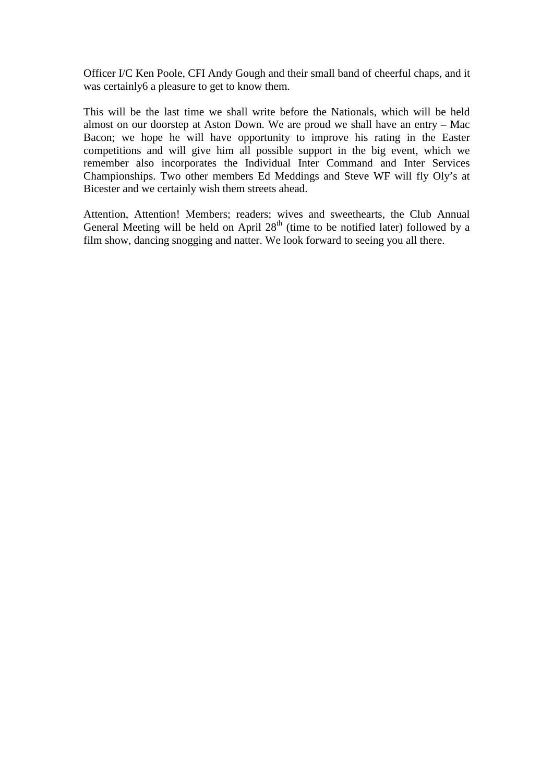Officer I/C Ken Poole, CFI Andy Gough and their small band of cheerful chaps, and it was certainly6 a pleasure to get to know them.

This will be the last time we shall write before the Nationals, which will be held almost on our doorstep at Aston Down. We are proud we shall have an entry – Mac Bacon; we hope he will have opportunity to improve his rating in the Easter competitions and will give him all possible support in the big event, which we remember also incorporates the Individual Inter Command and Inter Services Championships. Two other members Ed Meddings and Steve WF will fly Oly's at Bicester and we certainly wish them streets ahead.

Attention, Attention! Members; readers; wives and sweethearts, the Club Annual General Meeting will be held on April  $28<sup>th</sup>$  (time to be notified later) followed by a film show, dancing snogging and natter. We look forward to seeing you all there.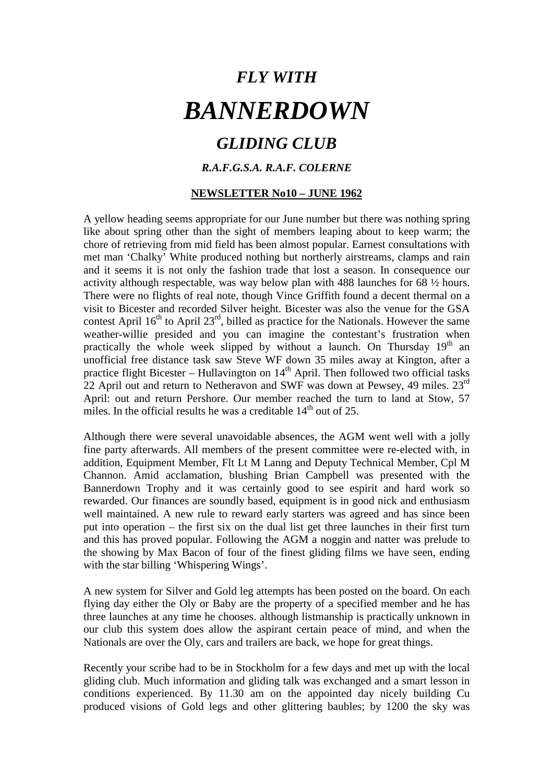## *GLIDING CLUB*

## *R.A.F.G.S.A. R.A.F. COLERNE*

## **NEWSLETTER No10 – JUNE 1962**

A yellow heading seems appropriate for our June number but there was nothing spring like about spring other than the sight of members leaping about to keep warm; the chore of retrieving from mid field has been almost popular. Earnest consultations with met man 'Chalky' White produced nothing but northerly airstreams, clamps and rain and it seems it is not only the fashion trade that lost a season. In consequence our activity although respectable, was way below plan with 488 launches for 68 ½ hours. There were no flights of real note, though Vince Griffith found a decent thermal on a visit to Bicester and recorded Silver height. Bicester was also the venue for the GSA contest April  $16<sup>th</sup>$  to April 23<sup>rd</sup>, billed as practice for the Nationals. However the same weather-willie presided and you can imagine the contestant's frustration when practically the whole week slipped by without a launch. On Thursday  $19<sup>th</sup>$  an unofficial free distance task saw Steve WF down 35 miles away at Kington, after a practice flight Bicester – Hullavington on  $14<sup>th</sup>$  April. Then followed two official tasks 22 April out and return to Netheravon and SWF was down at Pewsey, 49 miles. 23<sup>rd</sup> April: out and return Pershore. Our member reached the turn to land at Stow, 57 miles. In the official results he was a creditable  $14<sup>th</sup>$  out of 25.

Although there were several unavoidable absences, the AGM went well with a jolly fine party afterwards. All members of the present committee were re-elected with, in addition, Equipment Member, Flt Lt M Lanng and Deputy Technical Member, Cpl M Channon. Amid acclamation, blushing Brian Campbell was presented with the Bannerdown Trophy and it was certainly good to see espirit and hard work so rewarded. Our finances are soundly based, equipment is in good nick and enthusiasm well maintained. A new rule to reward early starters was agreed and has since been put into operation – the first six on the dual list get three launches in their first turn and this has proved popular. Following the AGM a noggin and natter was prelude to the showing by Max Bacon of four of the finest gliding films we have seen, ending with the star billing 'Whispering Wings'.

A new system for Silver and Gold leg attempts has been posted on the board. On each flying day either the Oly or Baby are the property of a specified member and he has three launches at any time he chooses. although listmanship is practically unknown in our club this system does allow the aspirant certain peace of mind, and when the Nationals are over the Oly, cars and trailers are back, we hope for great things.

Recently your scribe had to be in Stockholm for a few days and met up with the local gliding club. Much information and gliding talk was exchanged and a smart lesson in conditions experienced. By 11.30 am on the appointed day nicely building Cu produced visions of Gold legs and other glittering baubles; by 1200 the sky was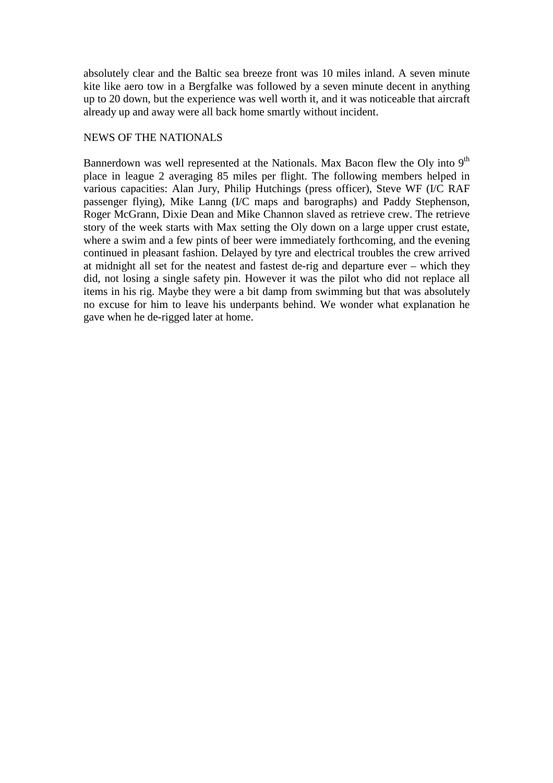absolutely clear and the Baltic sea breeze front was 10 miles inland. A seven minute kite like aero tow in a Bergfalke was followed by a seven minute decent in anything up to 20 down, but the experience was well worth it, and it was noticeable that aircraft already up and away were all back home smartly without incident.

### NEWS OF THE NATIONALS

Bannerdown was well represented at the Nationals. Max Bacon flew the Oly into 9<sup>th</sup> place in league 2 averaging 85 miles per flight. The following members helped in various capacities: Alan Jury, Philip Hutchings (press officer), Steve WF (I/C RAF passenger flying), Mike Lanng (I/C maps and barographs) and Paddy Stephenson, Roger McGrann, Dixie Dean and Mike Channon slaved as retrieve crew. The retrieve story of the week starts with Max setting the Oly down on a large upper crust estate, where a swim and a few pints of beer were immediately forthcoming, and the evening continued in pleasant fashion. Delayed by tyre and electrical troubles the crew arrived at midnight all set for the neatest and fastest de-rig and departure ever – which they did, not losing a single safety pin. However it was the pilot who did not replace all items in his rig. Maybe they were a bit damp from swimming but that was absolutely no excuse for him to leave his underpants behind. We wonder what explanation he gave when he de-rigged later at home.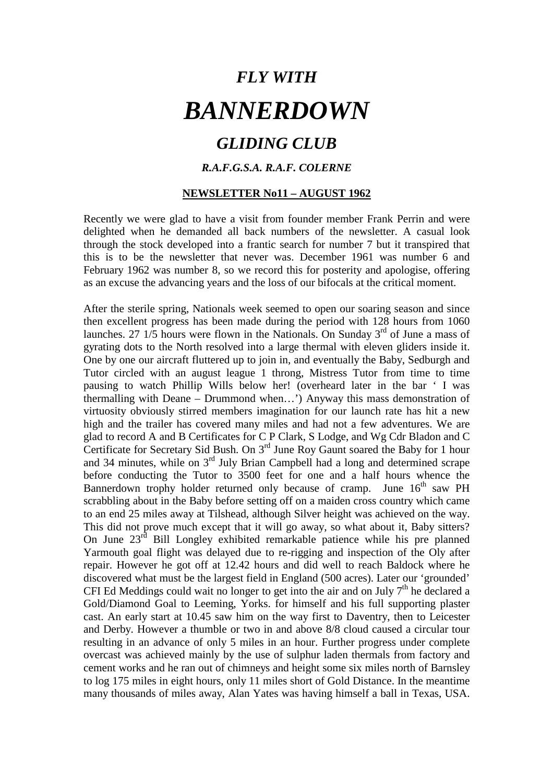# *GLIDING CLUB*

## *R.A.F.G.S.A. R.A.F. COLERNE*

#### **NEWSLETTER No11 – AUGUST 1962**

Recently we were glad to have a visit from founder member Frank Perrin and were delighted when he demanded all back numbers of the newsletter. A casual look through the stock developed into a frantic search for number 7 but it transpired that this is to be the newsletter that never was. December 1961 was number 6 and February 1962 was number 8, so we record this for posterity and apologise, offering as an excuse the advancing years and the loss of our bifocals at the critical moment.

After the sterile spring, Nationals week seemed to open our soaring season and since then excellent progress has been made during the period with 128 hours from 1060 launches. 27  $1/5$  hours were flown in the Nationals. On Sunday  $3<sup>rd</sup>$  of June a mass of gyrating dots to the North resolved into a large thermal with eleven gliders inside it. One by one our aircraft fluttered up to join in, and eventually the Baby, Sedburgh and Tutor circled with an august league 1 throng, Mistress Tutor from time to time pausing to watch Phillip Wills below her! (overheard later in the bar ' I was thermalling with Deane – Drummond when…') Anyway this mass demonstration of virtuosity obviously stirred members imagination for our launch rate has hit a new high and the trailer has covered many miles and had not a few adventures. We are glad to record A and B Certificates for C P Clark, S Lodge, and Wg Cdr Bladon and C Certificate for Secretary Sid Bush. On  $3<sup>rd</sup>$  June Roy Gaunt soared the Baby for 1 hour and 34 minutes, while on 3rd July Brian Campbell had a long and determined scrape before conducting the Tutor to 3500 feet for one and a half hours whence the Bannerdown trophy holder returned only because of cramp. June 16<sup>th</sup> saw PH scrabbling about in the Baby before setting off on a maiden cross country which came to an end 25 miles away at Tilshead, although Silver height was achieved on the way. This did not prove much except that it will go away, so what about it, Baby sitters? On June 23rd Bill Longley exhibited remarkable patience while his pre planned Yarmouth goal flight was delayed due to re-rigging and inspection of the Oly after repair. However he got off at 12.42 hours and did well to reach Baldock where he discovered what must be the largest field in England (500 acres). Later our 'grounded' CFI Ed Meddings could wait no longer to get into the air and on July  $7<sup>th</sup>$  he declared a Gold/Diamond Goal to Leeming, Yorks. for himself and his full supporting plaster cast. An early start at 10.45 saw him on the way first to Daventry, then to Leicester and Derby. However a thumble or two in and above 8/8 cloud caused a circular tour resulting in an advance of only 5 miles in an hour. Further progress under complete overcast was achieved mainly by the use of sulphur laden thermals from factory and cement works and he ran out of chimneys and height some six miles north of Barnsley to log 175 miles in eight hours, only 11 miles short of Gold Distance. In the meantime many thousands of miles away, Alan Yates was having himself a ball in Texas, USA.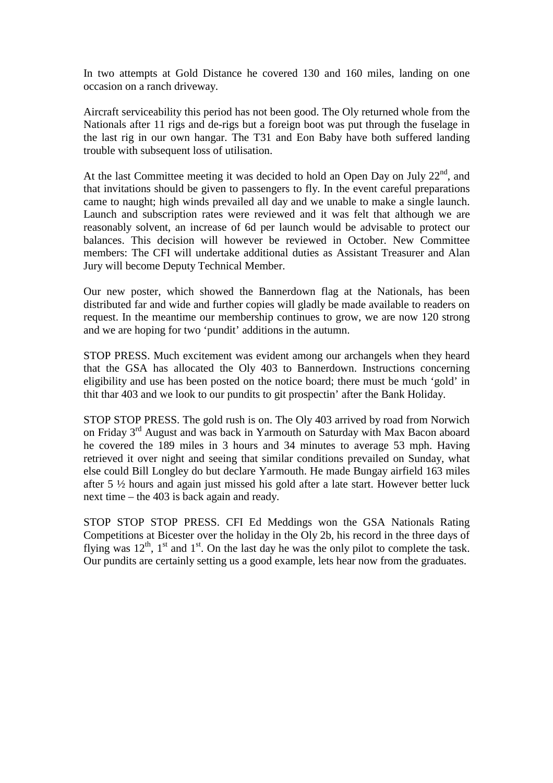In two attempts at Gold Distance he covered 130 and 160 miles, landing on one occasion on a ranch driveway.

Aircraft serviceability this period has not been good. The Oly returned whole from the Nationals after 11 rigs and de-rigs but a foreign boot was put through the fuselage in the last rig in our own hangar. The T31 and Eon Baby have both suffered landing trouble with subsequent loss of utilisation.

At the last Committee meeting it was decided to hold an Open Day on July 22nd, and that invitations should be given to passengers to fly. In the event careful preparations came to naught; high winds prevailed all day and we unable to make a single launch. Launch and subscription rates were reviewed and it was felt that although we are reasonably solvent, an increase of 6d per launch would be advisable to protect our balances. This decision will however be reviewed in October. New Committee members: The CFI will undertake additional duties as Assistant Treasurer and Alan Jury will become Deputy Technical Member.

Our new poster, which showed the Bannerdown flag at the Nationals, has been distributed far and wide and further copies will gladly be made available to readers on request. In the meantime our membership continues to grow, we are now 120 strong and we are hoping for two 'pundit' additions in the autumn.

STOP PRESS. Much excitement was evident among our archangels when they heard that the GSA has allocated the Oly 403 to Bannerdown. Instructions concerning eligibility and use has been posted on the notice board; there must be much 'gold' in thit thar 403 and we look to our pundits to git prospectin' after the Bank Holiday.

STOP STOP PRESS. The gold rush is on. The Oly 403 arrived by road from Norwich on Friday 3rd August and was back in Yarmouth on Saturday with Max Bacon aboard he covered the 189 miles in 3 hours and 34 minutes to average 53 mph. Having retrieved it over night and seeing that similar conditions prevailed on Sunday, what else could Bill Longley do but declare Yarmouth. He made Bungay airfield 163 miles after 5 ½ hours and again just missed his gold after a late start. However better luck next time – the 403 is back again and ready.

STOP STOP STOP PRESS. CFI Ed Meddings won the GSA Nationals Rating Competitions at Bicester over the holiday in the Oly 2b, his record in the three days of flying was  $12<sup>th</sup>$ ,  $1<sup>st</sup>$  and  $1<sup>st</sup>$ . On the last day he was the only pilot to complete the task. Our pundits are certainly setting us a good example, lets hear now from the graduates.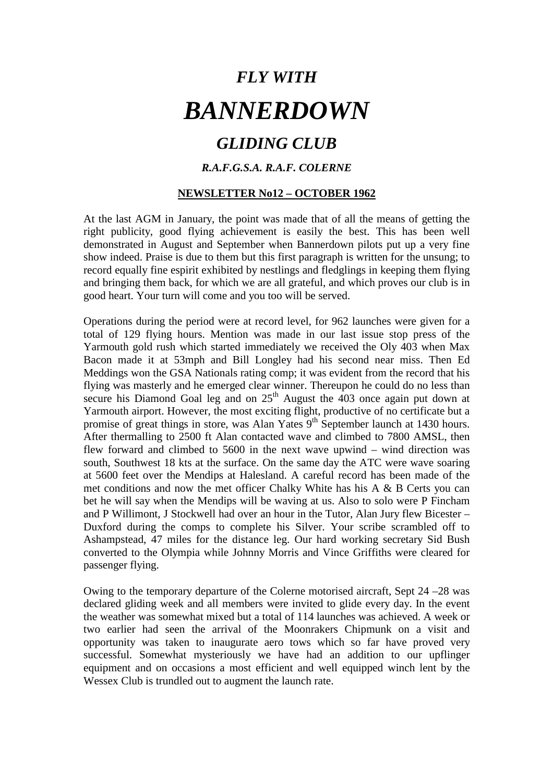# *GLIDING CLUB*

## *R.A.F.G.S.A. R.A.F. COLERNE*

## **NEWSLETTER No12 – OCTOBER 1962**

At the last AGM in January, the point was made that of all the means of getting the right publicity, good flying achievement is easily the best. This has been well demonstrated in August and September when Bannerdown pilots put up a very fine show indeed. Praise is due to them but this first paragraph is written for the unsung; to record equally fine espirit exhibited by nestlings and fledglings in keeping them flying and bringing them back, for which we are all grateful, and which proves our club is in good heart. Your turn will come and you too will be served.

Operations during the period were at record level, for 962 launches were given for a total of 129 flying hours. Mention was made in our last issue stop press of the Yarmouth gold rush which started immediately we received the Oly 403 when Max Bacon made it at 53mph and Bill Longley had his second near miss. Then Ed Meddings won the GSA Nationals rating comp; it was evident from the record that his flying was masterly and he emerged clear winner. Thereupon he could do no less than secure his Diamond Goal leg and on  $25<sup>th</sup>$  August the  $403$  once again put down at Yarmouth airport. However, the most exciting flight, productive of no certificate but a promise of great things in store, was Alan Yates  $9<sup>th</sup>$  September launch at 1430 hours. After thermalling to 2500 ft Alan contacted wave and climbed to 7800 AMSL, then flew forward and climbed to 5600 in the next wave upwind – wind direction was south, Southwest 18 kts at the surface. On the same day the ATC were wave soaring at 5600 feet over the Mendips at Halesland. A careful record has been made of the met conditions and now the met officer Chalky White has his A & B Certs you can bet he will say when the Mendips will be waving at us. Also to solo were P Fincham and P Willimont, J Stockwell had over an hour in the Tutor, Alan Jury flew Bicester – Duxford during the comps to complete his Silver. Your scribe scrambled off to Ashampstead, 47 miles for the distance leg. Our hard working secretary Sid Bush converted to the Olympia while Johnny Morris and Vince Griffiths were cleared for passenger flying.

Owing to the temporary departure of the Colerne motorised aircraft, Sept 24 –28 was declared gliding week and all members were invited to glide every day. In the event the weather was somewhat mixed but a total of 114 launches was achieved. A week or two earlier had seen the arrival of the Moonrakers Chipmunk on a visit and opportunity was taken to inaugurate aero tows which so far have proved very successful. Somewhat mysteriously we have had an addition to our upflinger equipment and on occasions a most efficient and well equipped winch lent by the Wessex Club is trundled out to augment the launch rate.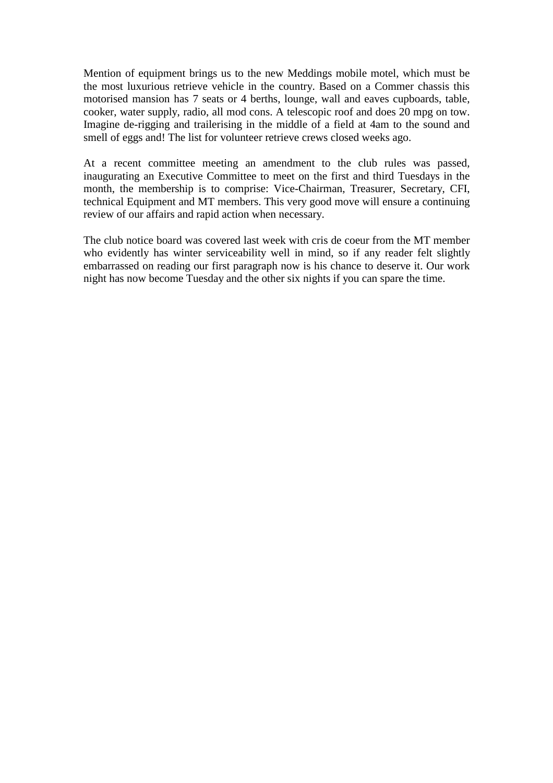Mention of equipment brings us to the new Meddings mobile motel, which must be the most luxurious retrieve vehicle in the country. Based on a Commer chassis this motorised mansion has 7 seats or 4 berths, lounge, wall and eaves cupboards, table, cooker, water supply, radio, all mod cons. A telescopic roof and does 20 mpg on tow. Imagine de-rigging and trailerising in the middle of a field at 4am to the sound and smell of eggs and! The list for volunteer retrieve crews closed weeks ago.

At a recent committee meeting an amendment to the club rules was passed, inaugurating an Executive Committee to meet on the first and third Tuesdays in the month, the membership is to comprise: Vice-Chairman, Treasurer, Secretary, CFI, technical Equipment and MT members. This very good move will ensure a continuing review of our affairs and rapid action when necessary.

The club notice board was covered last week with cris de coeur from the MT member who evidently has winter serviceability well in mind, so if any reader felt slightly embarrassed on reading our first paragraph now is his chance to deserve it. Our work night has now become Tuesday and the other six nights if you can spare the time.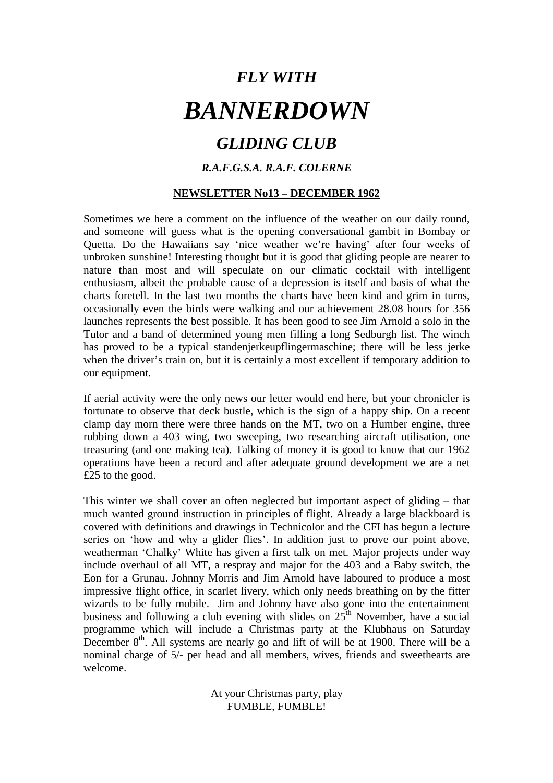# *GLIDING CLUB*

## *R.A.F.G.S.A. R.A.F. COLERNE*

## **NEWSLETTER No13 – DECEMBER 1962**

Sometimes we here a comment on the influence of the weather on our daily round, and someone will guess what is the opening conversational gambit in Bombay or Quetta. Do the Hawaiians say 'nice weather we're having' after four weeks of unbroken sunshine! Interesting thought but it is good that gliding people are nearer to nature than most and will speculate on our climatic cocktail with intelligent enthusiasm, albeit the probable cause of a depression is itself and basis of what the charts foretell. In the last two months the charts have been kind and grim in turns, occasionally even the birds were walking and our achievement 28.08 hours for 356 launches represents the best possible. It has been good to see Jim Arnold a solo in the Tutor and a band of determined young men filling a long Sedburgh list. The winch has proved to be a typical standenjerkeupflingermaschine; there will be less jerke when the driver's train on, but it is certainly a most excellent if temporary addition to our equipment.

If aerial activity were the only news our letter would end here, but your chronicler is fortunate to observe that deck bustle, which is the sign of a happy ship. On a recent clamp day morn there were three hands on the MT, two on a Humber engine, three rubbing down a 403 wing, two sweeping, two researching aircraft utilisation, one treasuring (and one making tea). Talking of money it is good to know that our 1962 operations have been a record and after adequate ground development we are a net £25 to the good.

This winter we shall cover an often neglected but important aspect of gliding – that much wanted ground instruction in principles of flight. Already a large blackboard is covered with definitions and drawings in Technicolor and the CFI has begun a lecture series on 'how and why a glider flies'. In addition just to prove our point above, weatherman 'Chalky' White has given a first talk on met. Major projects under way include overhaul of all MT, a respray and major for the 403 and a Baby switch, the Eon for a Grunau. Johnny Morris and Jim Arnold have laboured to produce a most impressive flight office, in scarlet livery, which only needs breathing on by the fitter wizards to be fully mobile. Jim and Johnny have also gone into the entertainment business and following a club evening with slides on  $25<sup>th</sup>$  November, have a social programme which will include a Christmas party at the Klubhaus on Saturday December  $8<sup>th</sup>$ . All systems are nearly go and lift of will be at 1900. There will be a nominal charge of 5/- per head and all members, wives, friends and sweethearts are welcome.

> At your Christmas party, play FUMBLE, FUMBLE!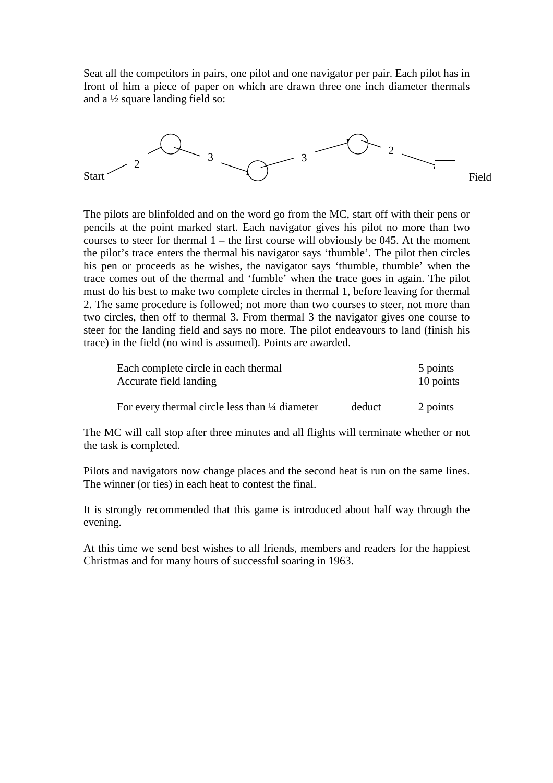Seat all the competitors in pairs, one pilot and one navigator per pair. Each pilot has in front of him a piece of paper on which are drawn three one inch diameter thermals and a ½ square landing field so:



The pilots are blinfolded and on the word go from the MC, start off with their pens or pencils at the point marked start. Each navigator gives his pilot no more than two courses to steer for thermal 1 – the first course will obviously be 045. At the moment the pilot's trace enters the thermal his navigator says 'thumble'. The pilot then circles his pen or proceeds as he wishes, the navigator says 'thumble, thumble' when the trace comes out of the thermal and 'fumble' when the trace goes in again. The pilot must do his best to make two complete circles in thermal 1, before leaving for thermal 2. The same procedure is followed; not more than two courses to steer, not more than two circles, then off to thermal 3. From thermal 3 the navigator gives one course to steer for the landing field and says no more. The pilot endeavours to land (finish his trace) in the field (no wind is assumed). Points are awarded.

| Each complete circle in each thermal<br>Accurate field landing |        | 5 points<br>10 points |
|----------------------------------------------------------------|--------|-----------------------|
| For every thermal circle less than $\frac{1}{4}$ diameter      | deduct | 2 points              |

The MC will call stop after three minutes and all flights will terminate whether or not the task is completed.

Pilots and navigators now change places and the second heat is run on the same lines. The winner (or ties) in each heat to contest the final.

It is strongly recommended that this game is introduced about half way through the evening.

At this time we send best wishes to all friends, members and readers for the happiest Christmas and for many hours of successful soaring in 1963.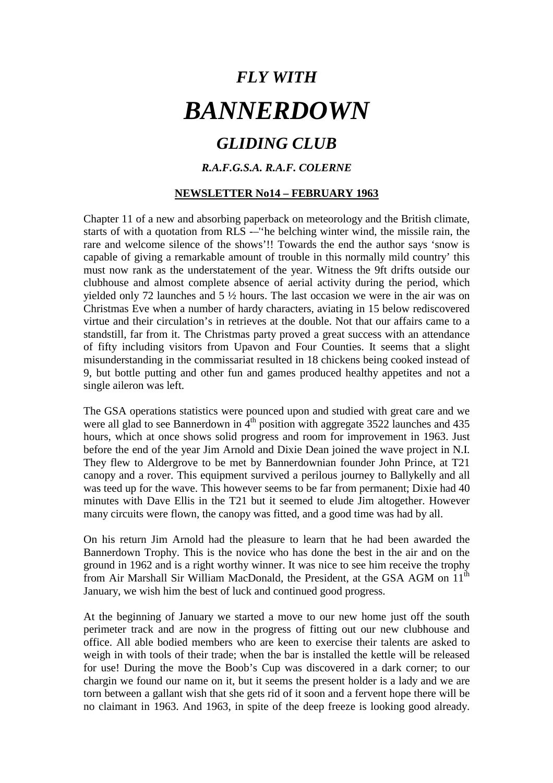## *GLIDING CLUB*

## *R.A.F.G.S.A. R.A.F. COLERNE*

### **NEWSLETTER No14 – FEBRUARY 1963**

Chapter 11 of a new and absorbing paperback on meteorology and the British climate, starts of with a quotation from RLS -–''he belching winter wind, the missile rain, the rare and welcome silence of the shows'!! Towards the end the author says 'snow is capable of giving a remarkable amount of trouble in this normally mild country' this must now rank as the understatement of the year. Witness the 9ft drifts outside our clubhouse and almost complete absence of aerial activity during the period, which yielded only 72 launches and 5 ½ hours. The last occasion we were in the air was on Christmas Eve when a number of hardy characters, aviating in 15 below rediscovered virtue and their circulation's in retrieves at the double. Not that our affairs came to a standstill, far from it. The Christmas party proved a great success with an attendance of fifty including visitors from Upavon and Four Counties. It seems that a slight misunderstanding in the commissariat resulted in 18 chickens being cooked instead of 9, but bottle putting and other fun and games produced healthy appetites and not a single aileron was left.

The GSA operations statistics were pounced upon and studied with great care and we were all glad to see Bannerdown in  $4<sup>th</sup>$  position with aggregate 3522 launches and 435 hours, which at once shows solid progress and room for improvement in 1963. Just before the end of the year Jim Arnold and Dixie Dean joined the wave project in N.I. They flew to Aldergrove to be met by Bannerdownian founder John Prince, at T21 canopy and a rover. This equipment survived a perilous journey to Ballykelly and all was teed up for the wave. This however seems to be far from permanent; Dixie had 40 minutes with Dave Ellis in the T21 but it seemed to elude Jim altogether. However many circuits were flown, the canopy was fitted, and a good time was had by all.

On his return Jim Arnold had the pleasure to learn that he had been awarded the Bannerdown Trophy. This is the novice who has done the best in the air and on the ground in 1962 and is a right worthy winner. It was nice to see him receive the trophy from Air Marshall Sir William MacDonald, the President, at the GSA AGM on 11<sup>th</sup> January, we wish him the best of luck and continued good progress.

At the beginning of January we started a move to our new home just off the south perimeter track and are now in the progress of fitting out our new clubhouse and office. All able bodied members who are keen to exercise their talents are asked to weigh in with tools of their trade; when the bar is installed the kettle will be released for use! During the move the Boob's Cup was discovered in a dark corner; to our chargin we found our name on it, but it seems the present holder is a lady and we are torn between a gallant wish that she gets rid of it soon and a fervent hope there will be no claimant in 1963. And 1963, in spite of the deep freeze is looking good already.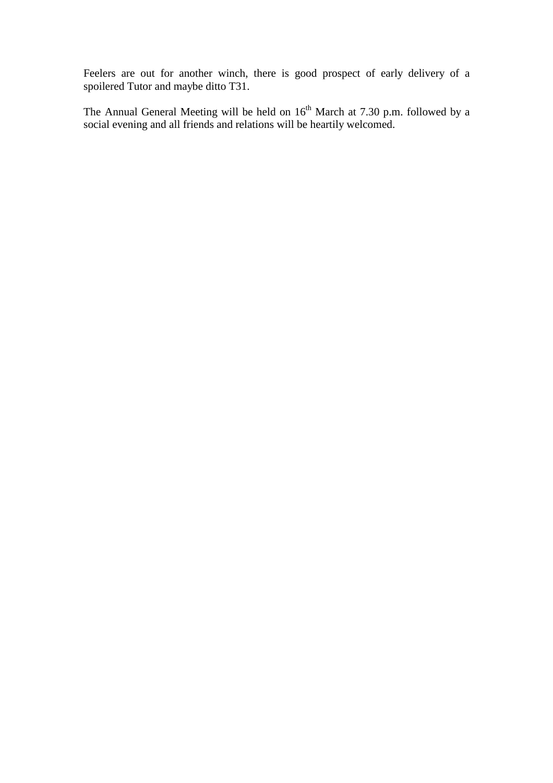Feelers are out for another winch, there is good prospect of early delivery of a spoilered Tutor and maybe ditto T31.

The Annual General Meeting will be held on  $16<sup>th</sup>$  March at 7.30 p.m. followed by a social evening and all friends and relations will be heartily welcomed.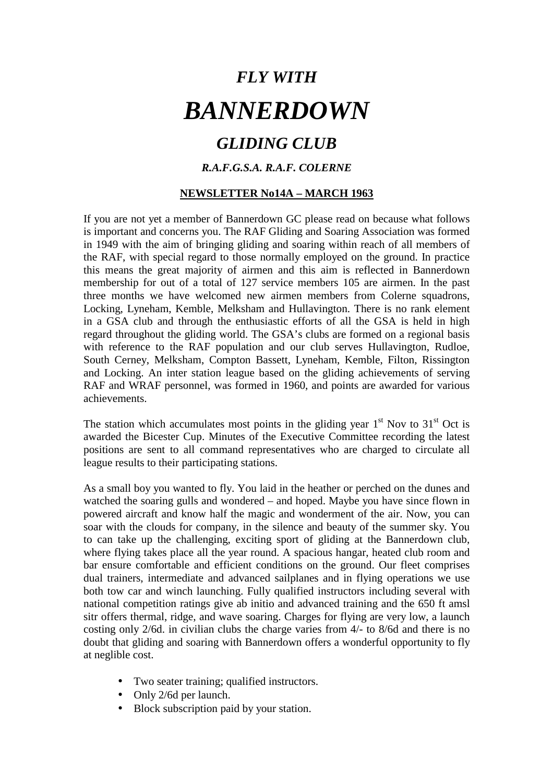# *GLIDING CLUB*

## *R.A.F.G.S.A. R.A.F. COLERNE*

## **NEWSLETTER No14A – MARCH 1963**

If you are not yet a member of Bannerdown GC please read on because what follows is important and concerns you. The RAF Gliding and Soaring Association was formed in 1949 with the aim of bringing gliding and soaring within reach of all members of the RAF, with special regard to those normally employed on the ground. In practice this means the great majority of airmen and this aim is reflected in Bannerdown membership for out of a total of 127 service members 105 are airmen. In the past three months we have welcomed new airmen members from Colerne squadrons, Locking, Lyneham, Kemble, Melksham and Hullavington. There is no rank element in a GSA club and through the enthusiastic efforts of all the GSA is held in high regard throughout the gliding world. The GSA's clubs are formed on a regional basis with reference to the RAF population and our club serves Hullavington, Rudloe, South Cerney, Melksham, Compton Bassett, Lyneham, Kemble, Filton, Rissington and Locking. An inter station league based on the gliding achievements of serving RAF and WRAF personnel, was formed in 1960, and points are awarded for various achievements.

The station which accumulates most points in the gliding year  $1<sup>st</sup>$  Nov to  $31<sup>st</sup>$  Oct is awarded the Bicester Cup. Minutes of the Executive Committee recording the latest positions are sent to all command representatives who are charged to circulate all league results to their participating stations.

As a small boy you wanted to fly. You laid in the heather or perched on the dunes and watched the soaring gulls and wondered – and hoped. Maybe you have since flown in powered aircraft and know half the magic and wonderment of the air. Now, you can soar with the clouds for company, in the silence and beauty of the summer sky. You to can take up the challenging, exciting sport of gliding at the Bannerdown club, where flying takes place all the year round. A spacious hangar, heated club room and bar ensure comfortable and efficient conditions on the ground. Our fleet comprises dual trainers, intermediate and advanced sailplanes and in flying operations we use both tow car and winch launching. Fully qualified instructors including several with national competition ratings give ab initio and advanced training and the 650 ft amsl sitr offers thermal, ridge, and wave soaring. Charges for flying are very low, a launch costing only 2/6d. in civilian clubs the charge varies from 4/- to 8/6d and there is no doubt that gliding and soaring with Bannerdown offers a wonderful opportunity to fly at neglible cost.

- Two seater training; qualified instructors.
- Only 2/6d per launch.
- Block subscription paid by your station.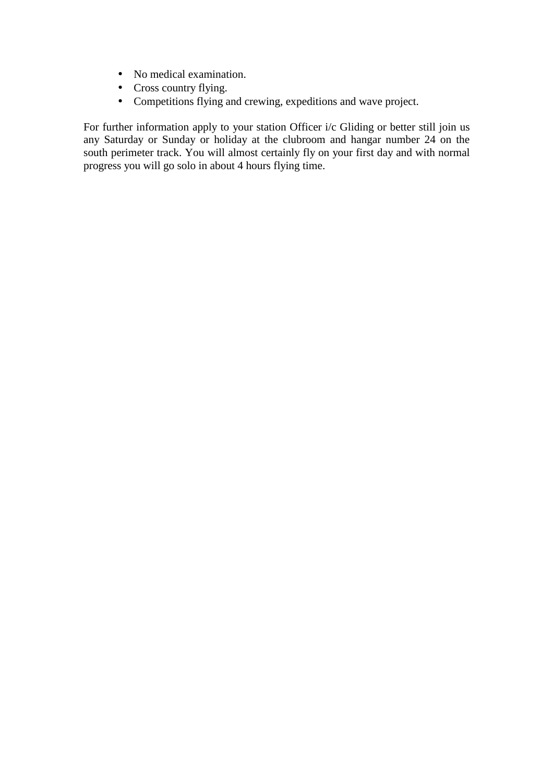- No medical examination.
- Cross country flying.
- Competitions flying and crewing, expeditions and wave project.

For further information apply to your station Officer i/c Gliding or better still join us any Saturday or Sunday or holiday at the clubroom and hangar number 24 on the south perimeter track. You will almost certainly fly on your first day and with normal progress you will go solo in about 4 hours flying time.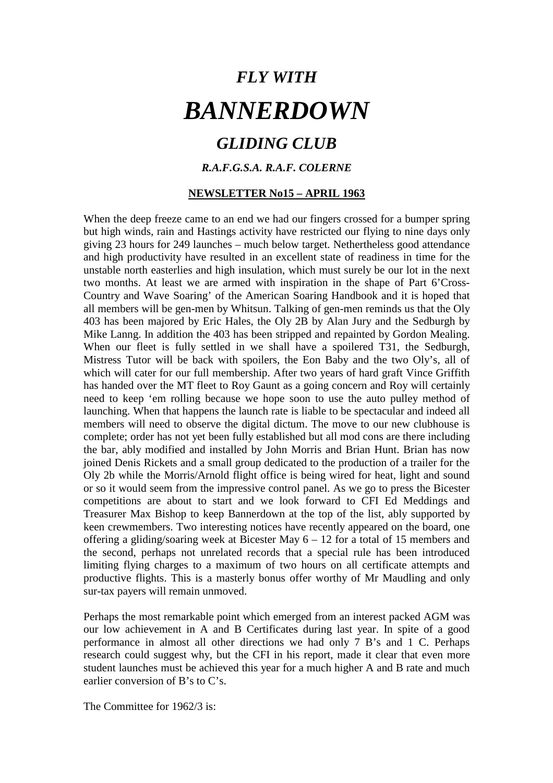## *GLIDING CLUB*

## *R.A.F.G.S.A. R.A.F. COLERNE*

#### **NEWSLETTER No15 – APRIL 1963**

When the deep freeze came to an end we had our fingers crossed for a bumper spring but high winds, rain and Hastings activity have restricted our flying to nine days only giving 23 hours for 249 launches – much below target. Nethertheless good attendance and high productivity have resulted in an excellent state of readiness in time for the unstable north easterlies and high insulation, which must surely be our lot in the next two months. At least we are armed with inspiration in the shape of Part 6'Cross-Country and Wave Soaring' of the American Soaring Handbook and it is hoped that all members will be gen-men by Whitsun. Talking of gen-men reminds us that the Oly 403 has been majored by Eric Hales, the Oly 2B by Alan Jury and the Sedburgh by Mike Lanng. In addition the 403 has been stripped and repainted by Gordon Mealing. When our fleet is fully settled in we shall have a spoilered T31, the Sedburgh, Mistress Tutor will be back with spoilers, the Eon Baby and the two Oly's, all of which will cater for our full membership. After two years of hard graft Vince Griffith has handed over the MT fleet to Roy Gaunt as a going concern and Roy will certainly need to keep 'em rolling because we hope soon to use the auto pulley method of launching. When that happens the launch rate is liable to be spectacular and indeed all members will need to observe the digital dictum. The move to our new clubhouse is complete; order has not yet been fully established but all mod cons are there including the bar, ably modified and installed by John Morris and Brian Hunt. Brian has now joined Denis Rickets and a small group dedicated to the production of a trailer for the Oly 2b while the Morris/Arnold flight office is being wired for heat, light and sound or so it would seem from the impressive control panel. As we go to press the Bicester competitions are about to start and we look forward to CFI Ed Meddings and Treasurer Max Bishop to keep Bannerdown at the top of the list, ably supported by keen crewmembers. Two interesting notices have recently appeared on the board, one offering a gliding/soaring week at Bicester May 6 – 12 for a total of 15 members and the second, perhaps not unrelated records that a special rule has been introduced limiting flying charges to a maximum of two hours on all certificate attempts and productive flights. This is a masterly bonus offer worthy of Mr Maudling and only sur-tax payers will remain unmoved.

Perhaps the most remarkable point which emerged from an interest packed AGM was our low achievement in A and B Certificates during last year. In spite of a good performance in almost all other directions we had only 7 B's and 1 C. Perhaps research could suggest why, but the CFI in his report, made it clear that even more student launches must be achieved this year for a much higher A and B rate and much earlier conversion of B's to C's.

The Committee for 1962/3 is: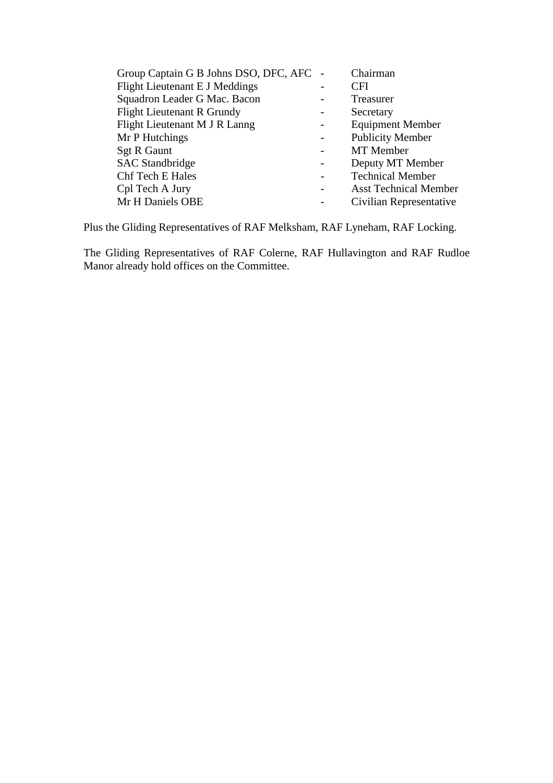| Group Captain G B Johns DSO, DFC, AFC | Chairman                     |
|---------------------------------------|------------------------------|
| Flight Lieutenant E J Meddings        | <b>CFI</b>                   |
| Squadron Leader G Mac. Bacon          | Treasurer                    |
| <b>Flight Lieutenant R Grundy</b>     | Secretary                    |
| Flight Lieutenant M J R Lanng         | <b>Equipment Member</b>      |
| Mr P Hutchings                        | <b>Publicity Member</b>      |
| <b>Sgt R Gaunt</b>                    | MT Member                    |
| <b>SAC</b> Standbridge                | Deputy MT Member             |
| <b>Chf Tech E Hales</b>               | <b>Technical Member</b>      |
| Cpl Tech A Jury                       | <b>Asst Technical Member</b> |
| Mr H Daniels OBE                      | Civilian Representative      |
|                                       |                              |

Plus the Gliding Representatives of RAF Melksham, RAF Lyneham, RAF Locking.

The Gliding Representatives of RAF Colerne, RAF Hullavington and RAF Rudloe Manor already hold offices on the Committee.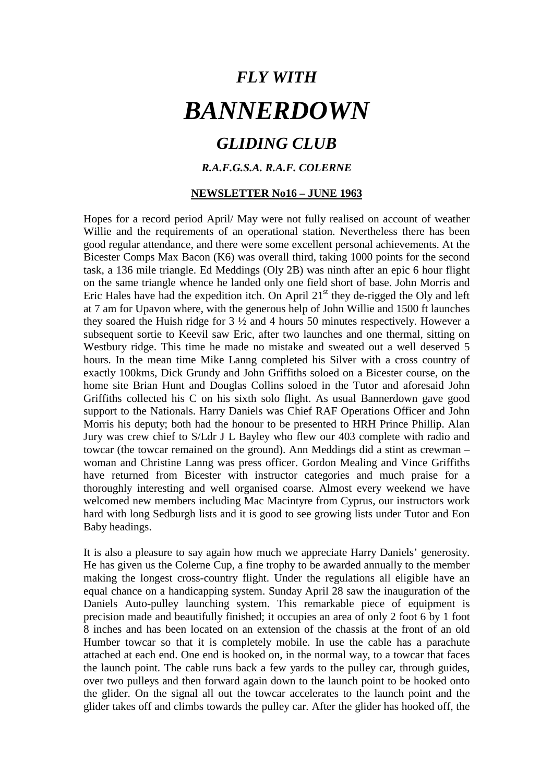## *GLIDING CLUB*

## *R.A.F.G.S.A. R.A.F. COLERNE*

#### **NEWSLETTER No16 – JUNE 1963**

Hopes for a record period April/ May were not fully realised on account of weather Willie and the requirements of an operational station. Nevertheless there has been good regular attendance, and there were some excellent personal achievements. At the Bicester Comps Max Bacon (K6) was overall third, taking 1000 points for the second task, a 136 mile triangle. Ed Meddings (Oly 2B) was ninth after an epic 6 hour flight on the same triangle whence he landed only one field short of base. John Morris and Eric Hales have had the expedition itch. On April  $21<sup>st</sup>$  they de-rigged the Oly and left at 7 am for Upavon where, with the generous help of John Willie and 1500 ft launches they soared the Huish ridge for  $3\frac{1}{2}$  and 4 hours 50 minutes respectively. However a subsequent sortie to Keevil saw Eric, after two launches and one thermal, sitting on Westbury ridge. This time he made no mistake and sweated out a well deserved 5 hours. In the mean time Mike Lanng completed his Silver with a cross country of exactly 100kms, Dick Grundy and John Griffiths soloed on a Bicester course, on the home site Brian Hunt and Douglas Collins soloed in the Tutor and aforesaid John Griffiths collected his C on his sixth solo flight. As usual Bannerdown gave good support to the Nationals. Harry Daniels was Chief RAF Operations Officer and John Morris his deputy; both had the honour to be presented to HRH Prince Phillip. Alan Jury was crew chief to S/Ldr J L Bayley who flew our 403 complete with radio and towcar (the towcar remained on the ground). Ann Meddings did a stint as crewman – woman and Christine Lanng was press officer. Gordon Mealing and Vince Griffiths have returned from Bicester with instructor categories and much praise for a thoroughly interesting and well organised coarse. Almost every weekend we have welcomed new members including Mac Macintyre from Cyprus, our instructors work hard with long Sedburgh lists and it is good to see growing lists under Tutor and Eon Baby headings.

It is also a pleasure to say again how much we appreciate Harry Daniels' generosity. He has given us the Colerne Cup, a fine trophy to be awarded annually to the member making the longest cross-country flight. Under the regulations all eligible have an equal chance on a handicapping system. Sunday April 28 saw the inauguration of the Daniels Auto-pulley launching system. This remarkable piece of equipment is precision made and beautifully finished; it occupies an area of only 2 foot 6 by 1 foot 8 inches and has been located on an extension of the chassis at the front of an old Humber towcar so that it is completely mobile. In use the cable has a parachute attached at each end. One end is hooked on, in the normal way, to a towcar that faces the launch point. The cable runs back a few yards to the pulley car, through guides, over two pulleys and then forward again down to the launch point to be hooked onto the glider. On the signal all out the towcar accelerates to the launch point and the glider takes off and climbs towards the pulley car. After the glider has hooked off, the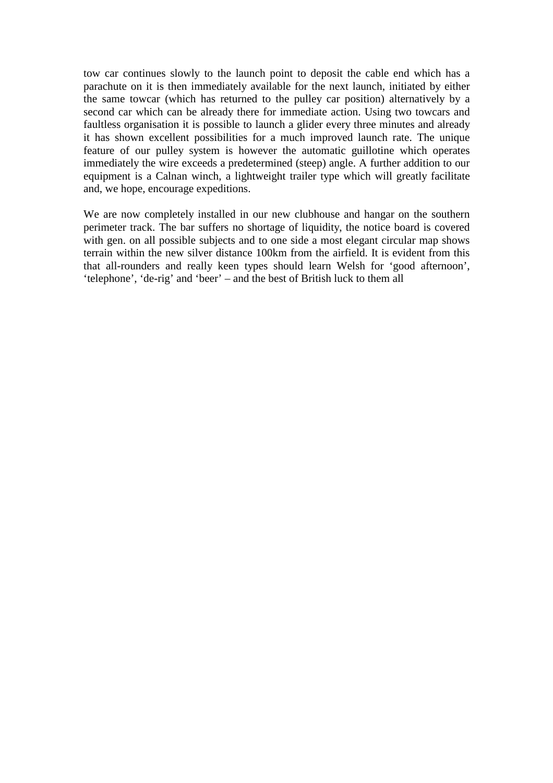tow car continues slowly to the launch point to deposit the cable end which has a parachute on it is then immediately available for the next launch, initiated by either the same towcar (which has returned to the pulley car position) alternatively by a second car which can be already there for immediate action. Using two towcars and faultless organisation it is possible to launch a glider every three minutes and already it has shown excellent possibilities for a much improved launch rate. The unique feature of our pulley system is however the automatic guillotine which operates immediately the wire exceeds a predetermined (steep) angle. A further addition to our equipment is a Calnan winch, a lightweight trailer type which will greatly facilitate and, we hope, encourage expeditions.

We are now completely installed in our new clubhouse and hangar on the southern perimeter track. The bar suffers no shortage of liquidity, the notice board is covered with gen. on all possible subjects and to one side a most elegant circular map shows terrain within the new silver distance 100km from the airfield. It is evident from this that all-rounders and really keen types should learn Welsh for 'good afternoon', 'telephone', 'de-rig' and 'beer' – and the best of British luck to them all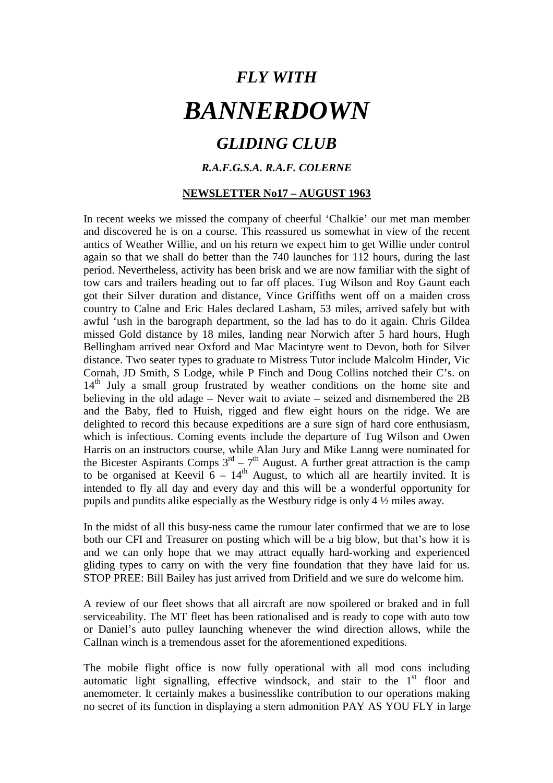## *GLIDING CLUB*

## *R.A.F.G.S.A. R.A.F. COLERNE*

### **NEWSLETTER No17 – AUGUST 1963**

In recent weeks we missed the company of cheerful 'Chalkie' our met man member and discovered he is on a course. This reassured us somewhat in view of the recent antics of Weather Willie, and on his return we expect him to get Willie under control again so that we shall do better than the 740 launches for 112 hours, during the last period. Nevertheless, activity has been brisk and we are now familiar with the sight of tow cars and trailers heading out to far off places. Tug Wilson and Roy Gaunt each got their Silver duration and distance, Vince Griffiths went off on a maiden cross country to Calne and Eric Hales declared Lasham, 53 miles, arrived safely but with awful 'ush in the barograph department, so the lad has to do it again. Chris Gildea missed Gold distance by 18 miles, landing near Norwich after 5 hard hours, Hugh Bellingham arrived near Oxford and Mac Macintyre went to Devon, both for Silver distance. Two seater types to graduate to Mistress Tutor include Malcolm Hinder, Vic Cornah, JD Smith, S Lodge, while P Finch and Doug Collins notched their C's. on 14<sup>th</sup> July a small group frustrated by weather conditions on the home site and believing in the old adage – Never wait to aviate – seized and dismembered the 2B and the Baby, fled to Huish, rigged and flew eight hours on the ridge. We are delighted to record this because expeditions are a sure sign of hard core enthusiasm, which is infectious. Coming events include the departure of Tug Wilson and Owen Harris on an instructors course, while Alan Jury and Mike Lanng were nominated for the Bicester Aspirants Comps  $3<sup>rd</sup> - 7<sup>th</sup>$  August. A further great attraction is the camp to be organised at Keevil  $6 - 14$ <sup>th</sup> August, to which all are heartily invited. It is intended to fly all day and every day and this will be a wonderful opportunity for pupils and pundits alike especially as the Westbury ridge is only 4 ½ miles away.

In the midst of all this busy-ness came the rumour later confirmed that we are to lose both our CFI and Treasurer on posting which will be a big blow, but that's how it is and we can only hope that we may attract equally hard-working and experienced gliding types to carry on with the very fine foundation that they have laid for us. STOP PREE: Bill Bailey has just arrived from Drifield and we sure do welcome him.

A review of our fleet shows that all aircraft are now spoilered or braked and in full serviceability. The MT fleet has been rationalised and is ready to cope with auto tow or Daniel's auto pulley launching whenever the wind direction allows, while the Callnan winch is a tremendous asset for the aforementioned expeditions.

The mobile flight office is now fully operational with all mod cons including automatic light signalling, effective windsock, and stair to the 1<sup>st</sup> floor and anemometer. It certainly makes a businesslike contribution to our operations making no secret of its function in displaying a stern admonition PAY AS YOU FLY in large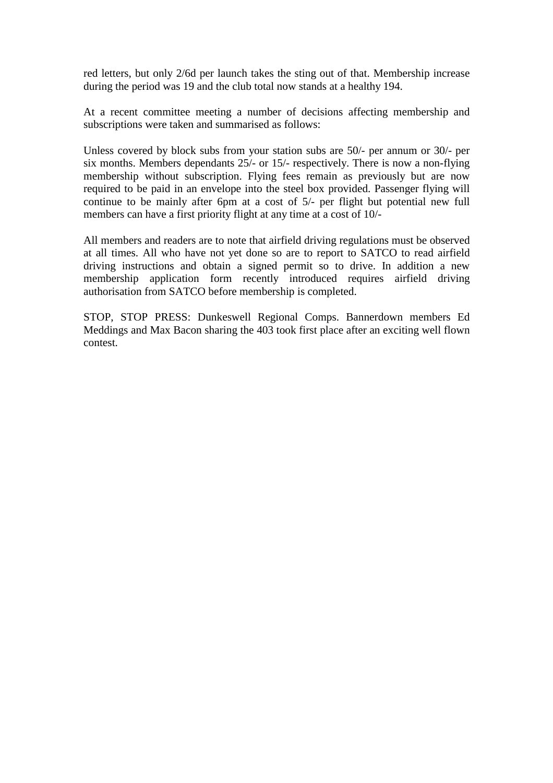red letters, but only 2/6d per launch takes the sting out of that. Membership increase during the period was 19 and the club total now stands at a healthy 194.

At a recent committee meeting a number of decisions affecting membership and subscriptions were taken and summarised as follows:

Unless covered by block subs from your station subs are 50/- per annum or 30/- per six months. Members dependants 25/- or 15/- respectively. There is now a non-flying membership without subscription. Flying fees remain as previously but are now required to be paid in an envelope into the steel box provided. Passenger flying will continue to be mainly after 6pm at a cost of 5/- per flight but potential new full members can have a first priority flight at any time at a cost of 10/-

All members and readers are to note that airfield driving regulations must be observed at all times. All who have not yet done so are to report to SATCO to read airfield driving instructions and obtain a signed permit so to drive. In addition a new membership application form recently introduced requires airfield driving authorisation from SATCO before membership is completed.

STOP, STOP PRESS: Dunkeswell Regional Comps. Bannerdown members Ed Meddings and Max Bacon sharing the 403 took first place after an exciting well flown contest.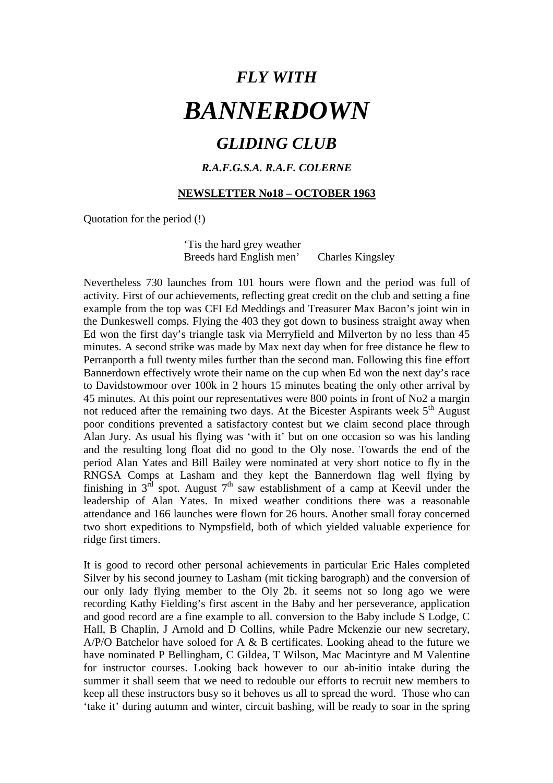## *GLIDING CLUB*

## *R.A.F.G.S.A. R.A.F. COLERNE*

#### **NEWSLETTER No18 – OCTOBER 1963**

Quotation for the period (!)

 'Tis the hard grey weather Breeds hard English men' Charles Kingsley

Nevertheless 730 launches from 101 hours were flown and the period was full of activity. First of our achievements, reflecting great credit on the club and setting a fine example from the top was CFI Ed Meddings and Treasurer Max Bacon's joint win in the Dunkeswell comps. Flying the 403 they got down to business straight away when Ed won the first day's triangle task via Merryfield and Milverton by no less than 45 minutes. A second strike was made by Max next day when for free distance he flew to Perranporth a full twenty miles further than the second man. Following this fine effort Bannerdown effectively wrote their name on the cup when Ed won the next day's race to Davidstowmoor over 100k in 2 hours 15 minutes beating the only other arrival by 45 minutes. At this point our representatives were 800 points in front of No2 a margin not reduced after the remaining two days. At the Bicester Aspirants week  $5<sup>th</sup>$  August poor conditions prevented a satisfactory contest but we claim second place through Alan Jury. As usual his flying was 'with it' but on one occasion so was his landing and the resulting long float did no good to the Oly nose. Towards the end of the period Alan Yates and Bill Bailey were nominated at very short notice to fly in the RNGSA Comps at Lasham and they kept the Bannerdown flag well flying by finishing in  $3^{rd}$  spot. August  $7^{th}$  saw establishment of a camp at Keevil under the leadership of Alan Yates. In mixed weather conditions there was a reasonable attendance and 166 launches were flown for 26 hours. Another small foray concerned two short expeditions to Nympsfield, both of which yielded valuable experience for ridge first timers.

It is good to record other personal achievements in particular Eric Hales completed Silver by his second journey to Lasham (mit ticking barograph) and the conversion of our only lady flying member to the Oly 2b. it seems not so long ago we were recording Kathy Fielding's first ascent in the Baby and her perseverance, application and good record are a fine example to all. conversion to the Baby include S Lodge, C Hall, B Chaplin, J Arnold and D Collins, while Padre Mckenzie our new secretary, A/P/O Batchelor have soloed for A & B certificates. Looking ahead to the future we have nominated P Bellingham, C Gildea, T Wilson, Mac Macintyre and M Valentine for instructor courses. Looking back however to our ab-initio intake during the summer it shall seem that we need to redouble our efforts to recruit new members to keep all these instructors busy so it behoves us all to spread the word. Those who can 'take it' during autumn and winter, circuit bashing, will be ready to soar in the spring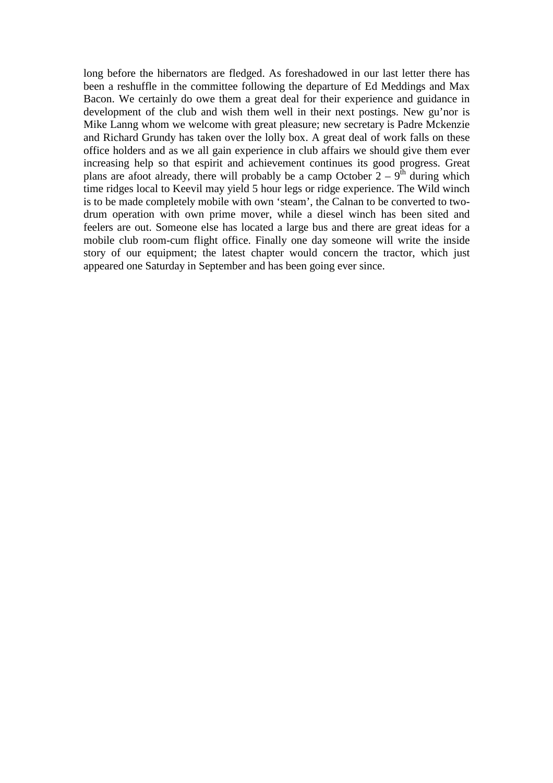long before the hibernators are fledged. As foreshadowed in our last letter there has been a reshuffle in the committee following the departure of Ed Meddings and Max Bacon. We certainly do owe them a great deal for their experience and guidance in development of the club and wish them well in their next postings. New gu'nor is Mike Lanng whom we welcome with great pleasure; new secretary is Padre Mckenzie and Richard Grundy has taken over the lolly box. A great deal of work falls on these office holders and as we all gain experience in club affairs we should give them ever increasing help so that espirit and achievement continues its good progress. Great plans are afoot already, there will probably be a camp October  $2 - 9<sup>th</sup>$  during which time ridges local to Keevil may yield 5 hour legs or ridge experience. The Wild winch is to be made completely mobile with own 'steam', the Calnan to be converted to twodrum operation with own prime mover, while a diesel winch has been sited and feelers are out. Someone else has located a large bus and there are great ideas for a mobile club room-cum flight office. Finally one day someone will write the inside story of our equipment; the latest chapter would concern the tractor, which just appeared one Saturday in September and has been going ever since.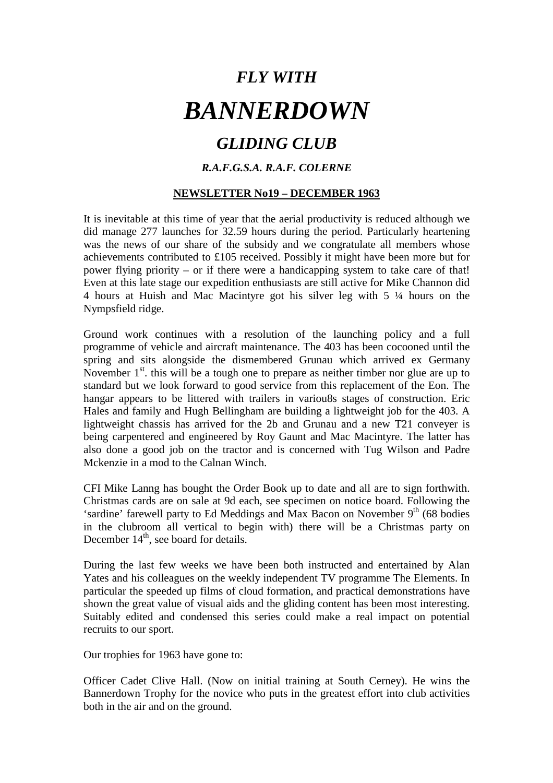# *GLIDING CLUB*

## *R.A.F.G.S.A. R.A.F. COLERNE*

## **NEWSLETTER No19 – DECEMBER 1963**

It is inevitable at this time of year that the aerial productivity is reduced although we did manage 277 launches for 32.59 hours during the period. Particularly heartening was the news of our share of the subsidy and we congratulate all members whose achievements contributed to £105 received. Possibly it might have been more but for power flying priority – or if there were a handicapping system to take care of that! Even at this late stage our expedition enthusiasts are still active for Mike Channon did 4 hours at Huish and Mac Macintyre got his silver leg with 5 ¼ hours on the Nympsfield ridge.

Ground work continues with a resolution of the launching policy and a full programme of vehicle and aircraft maintenance. The 403 has been cocooned until the spring and sits alongside the dismembered Grunau which arrived ex Germany November  $1<sup>st</sup>$ , this will be a tough one to prepare as neither timber nor glue are up to standard but we look forward to good service from this replacement of the Eon. The hangar appears to be littered with trailers in variou8s stages of construction. Eric Hales and family and Hugh Bellingham are building a lightweight job for the 403. A lightweight chassis has arrived for the 2b and Grunau and a new T21 conveyer is being carpentered and engineered by Roy Gaunt and Mac Macintyre. The latter has also done a good job on the tractor and is concerned with Tug Wilson and Padre Mckenzie in a mod to the Calnan Winch.

CFI Mike Lanng has bought the Order Book up to date and all are to sign forthwith. Christmas cards are on sale at 9d each, see specimen on notice board. Following the 'sardine' farewell party to Ed Meddings and Max Bacon on November  $9<sup>th</sup>$  (68 bodies) in the clubroom all vertical to begin with) there will be a Christmas party on December 14<sup>th</sup>, see board for details.

During the last few weeks we have been both instructed and entertained by Alan Yates and his colleagues on the weekly independent TV programme The Elements. In particular the speeded up films of cloud formation, and practical demonstrations have shown the great value of visual aids and the gliding content has been most interesting. Suitably edited and condensed this series could make a real impact on potential recruits to our sport.

Our trophies for 1963 have gone to:

Officer Cadet Clive Hall. (Now on initial training at South Cerney). He wins the Bannerdown Trophy for the novice who puts in the greatest effort into club activities both in the air and on the ground.